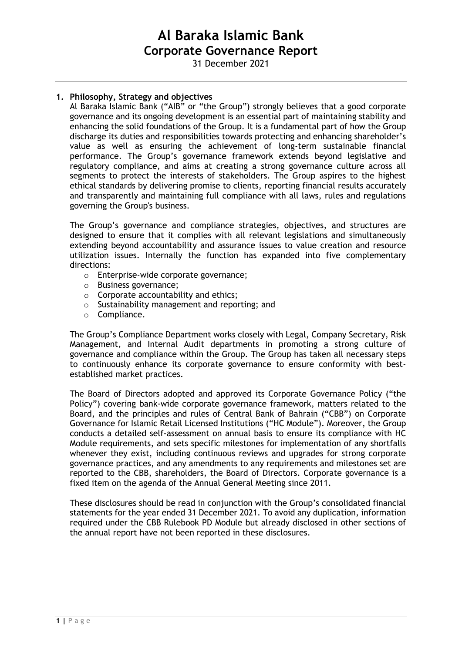31 December 2021

# **1. Philosophy, Strategy and objectives**

Al Baraka Islamic Bank ("AIB" or "the Group") strongly believes that a good corporate governance and its ongoing development is an essential part of maintaining stability and enhancing the solid foundations of the Group. It is a fundamental part of how the Group discharge its duties and responsibilities towards protecting and enhancing shareholder's value as well as ensuring the achievement of long-term sustainable financial performance. The Group's governance framework extends beyond legislative and regulatory compliance, and aims at creating a strong governance culture across all segments to protect the interests of stakeholders. The Group aspires to the highest ethical standards by delivering promise to clients, reporting financial results accurately and transparently and maintaining full compliance with all laws, rules and regulations governing the Group's business.

The Group's governance and compliance strategies, objectives, and structures are designed to ensure that it complies with all relevant legislations and simultaneously extending beyond accountability and assurance issues to value creation and resource utilization issues. Internally the function has expanded into five complementary directions:

- o Enterprise-wide corporate governance;
- o Business governance;
- $\circ$  Corporate accountability and ethics;
- o Sustainability management and reporting; and
- o Compliance.

The Group's Compliance Department works closely with Legal, Company Secretary, Risk Management, and Internal Audit departments in promoting a strong culture of governance and compliance within the Group. The Group has taken all necessary steps to continuously enhance its corporate governance to ensure conformity with bestestablished market practices.

The Board of Directors adopted and approved its Corporate Governance Policy ("the Policy") covering bank-wide corporate governance framework, matters related to the Board, and the principles and rules of Central Bank of Bahrain ("CBB") on Corporate Governance for Islamic Retail Licensed Institutions ("HC Module"). Moreover, the Group conducts a detailed self-assessment on annual basis to ensure its compliance with HC Module requirements, and sets specific milestones for implementation of any shortfalls whenever they exist, including continuous reviews and upgrades for strong corporate governance practices, and any amendments to any requirements and milestones set are reported to the CBB, shareholders, the Board of Directors. Corporate governance is a fixed item on the agenda of the Annual General Meeting since 2011.

These disclosures should be read in conjunction with the Group's consolidated financial statements for the year ended 31 December 2021. To avoid any duplication, information required under the CBB Rulebook PD Module but already disclosed in other sections of the annual report have not been reported in these disclosures.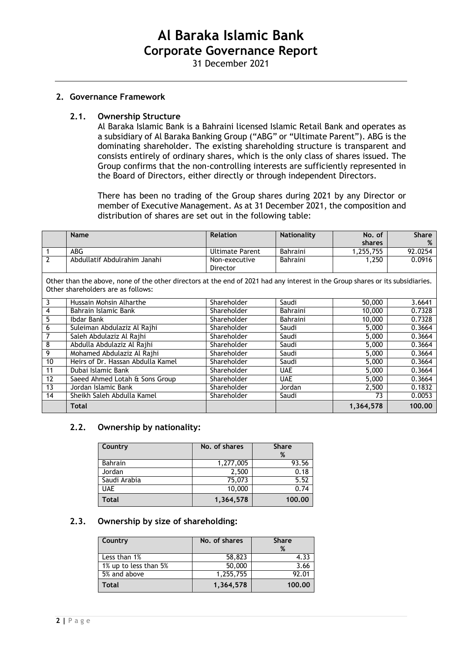31 December 2021

#### **2. Governance Framework**

#### **2.1. Ownership Structure**

Al Baraka Islamic Bank is a Bahraini licensed Islamic Retail Bank and operates as a subsidiary of Al Baraka Banking Group ("ABG" or "Ultimate Parent"). ABG is the dominating shareholder. The existing shareholding structure is transparent and consists entirely of ordinary shares, which is the only class of shares issued. The Group confirms that the non-controlling interests are sufficiently represented in the Board of Directors, either directly or through independent Directors.

There has been no trading of the Group shares during 2021 by any Director or member of Executive Management. As at 31 December 2021, the composition and distribution of shares are set out in the following table:

|                                                                                                                                                                      | <b>Name</b>                       | <b>Relation</b>        | <b>Nationality</b> | No. of        | <b>Share</b> |
|----------------------------------------------------------------------------------------------------------------------------------------------------------------------|-----------------------------------|------------------------|--------------------|---------------|--------------|
|                                                                                                                                                                      |                                   |                        |                    | <b>shares</b> | %            |
| 1                                                                                                                                                                    | <b>ABG</b>                        | <b>Ultimate Parent</b> | Bahraini           | 1,255,755     | 92.0254      |
| $\overline{2}$                                                                                                                                                       | Abdullatif Abdulrahim Janahi      | Non-executive          | Bahraini           | 1,250         | 0.0916       |
|                                                                                                                                                                      |                                   | Director               |                    |               |              |
| Other than the above, none of the other directors at the end of 2021 had any interest in the Group shares or its subsidiaries.<br>Other shareholders are as follows: |                                   |                        |                    |               |              |
| 3                                                                                                                                                                    | Hussain Mohsin Alharthe           | Shareholder            | Saudi              | 50,000        | 3.6641       |
| 4                                                                                                                                                                    | Bahrain Islamic Bank              | Shareholder            | <b>Bahraini</b>    | 10,000        | 0.7328       |
| 5                                                                                                                                                                    | Ibdar Bank                        | Shareholder            | <b>Bahraini</b>    | 10,000        | 0.7328       |
| 6                                                                                                                                                                    | Suleiman Abdulaziz Al Rajhi       | Shareholder            | Saudi              | 5,000         | 0.3664       |
| 7                                                                                                                                                                    | Saleh Abdulaziz Al Rajhi          | Shareholder            | Saudi              | 5,000         | 0.3664       |
| $\overline{8}$                                                                                                                                                       | Abdulla Abdulaziz Al Rajhi        | Shareholder            | Saudi              | 5,000         | 0.3664       |
| 9                                                                                                                                                                    | Mohamed Abdulaziz Al Rajhi        | Shareholder            | Saudi              | 5,000         | 0.3664       |
| 10                                                                                                                                                                   | Heirs of Dr. Hassan Abdulla Kamel | Shareholder            | Saudi              | 5,000         | 0.3664       |
| 11                                                                                                                                                                   | Dubai Islamic Bank                | Shareholder            | <b>UAE</b>         | 5,000         | 0.3664       |
| 12                                                                                                                                                                   | Saeed Ahmed Lotah & Sons Group    | Shareholder            | <b>UAE</b>         | 5,000         | 0.3664       |
| 13                                                                                                                                                                   | Jordan Islamic Bank               | Shareholder            | Jordan             | 2,500         | 0.1832       |
| 14                                                                                                                                                                   | Sheikh Saleh Abdulla Kamel        | Shareholder            | Saudi              | 73            | 0.0053       |
|                                                                                                                                                                      | Total                             |                        |                    | 1,364,578     | 100.00       |

#### **2.2. Ownership by nationality:**

| Country        | No. of shares<br><b>Share</b><br>% |        |
|----------------|------------------------------------|--------|
| <b>Bahrain</b> | 1,277,005                          | 93.56  |
| Jordan         | 2,500                              | 0.18   |
| Saudi Arabia   | 75,073                             | 5.52   |
| <b>UAE</b>     | 10,000                             | 0.74   |
| Total          | 1,364,578                          | 100.00 |

#### **2.3. Ownership by size of shareholding:**

| Country               | No. of shares | <b>Share</b><br>% |
|-----------------------|---------------|-------------------|
| Less than 1%          | 58,823        | 4.33              |
| 1% up to less than 5% | 50,000        | 3.66              |
| 5% and above          | 1,255,755     | 92.01             |
| Total                 | 1,364,578     | 100.00            |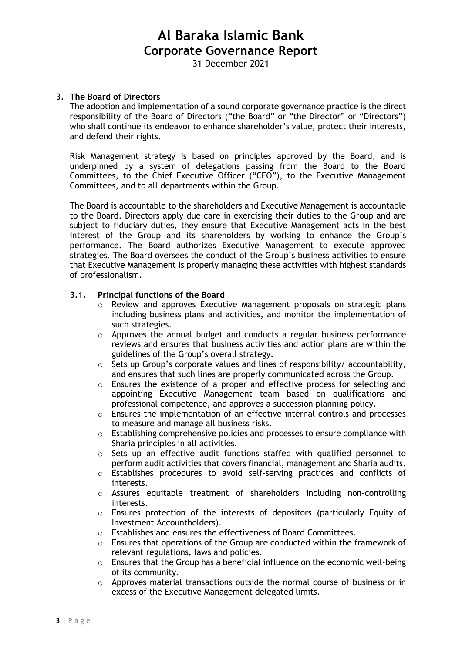31 December 2021

# **3. The Board of Directors**

The adoption and implementation of a sound corporate governance practice is the direct responsibility of the Board of Directors ("the Board" or "the Director" or "Directors") who shall continue its endeavor to enhance shareholder's value, protect their interests, and defend their rights.

Risk Management strategy is based on principles approved by the Board, and is underpinned by a system of delegations passing from the Board to the Board Committees, to the Chief Executive Officer ("CEO"), to the Executive Management Committees, and to all departments within the Group.

The Board is accountable to the shareholders and Executive Management is accountable to the Board. Directors apply due care in exercising their duties to the Group and are subject to fiduciary duties, they ensure that Executive Management acts in the best interest of the Group and its shareholders by working to enhance the Group's performance. The Board authorizes Executive Management to execute approved strategies. The Board oversees the conduct of the Group's business activities to ensure that Executive Management is properly managing these activities with highest standards of professionalism.

### **3.1. Principal functions of the Board**

- o Review and approves Executive Management proposals on strategic plans including business plans and activities, and monitor the implementation of such strategies.
- o Approves the annual budget and conducts a regular business performance reviews and ensures that business activities and action plans are within the guidelines of the Group's overall strategy.
- o Sets up Group's corporate values and lines of responsibility/ accountability, and ensures that such lines are properly communicated across the Group.
- o Ensures the existence of a proper and effective process for selecting and appointing Executive Management team based on qualifications and professional competence, and approves a succession planning policy.
- $\circ$  Ensures the implementation of an effective internal controls and processes to measure and manage all business risks.
- o Establishing comprehensive policies and processes to ensure compliance with Sharia principles in all activities.
- o Sets up an effective audit functions staffed with qualified personnel to perform audit activities that covers financial, management and Sharia audits.
- o Establishes procedures to avoid self-serving practices and conflicts of interests.
- o Assures equitable treatment of shareholders including non-controlling interests.
- o Ensures protection of the interests of depositors (particularly Equity of Investment Accountholders).
- o Establishes and ensures the effectiveness of Board Committees.
- $\circ$  Ensures that operations of the Group are conducted within the framework of relevant regulations, laws and policies.
- o Ensures that the Group has a beneficial influence on the economic well-being of its community.
- o Approves material transactions outside the normal course of business or in excess of the Executive Management delegated limits.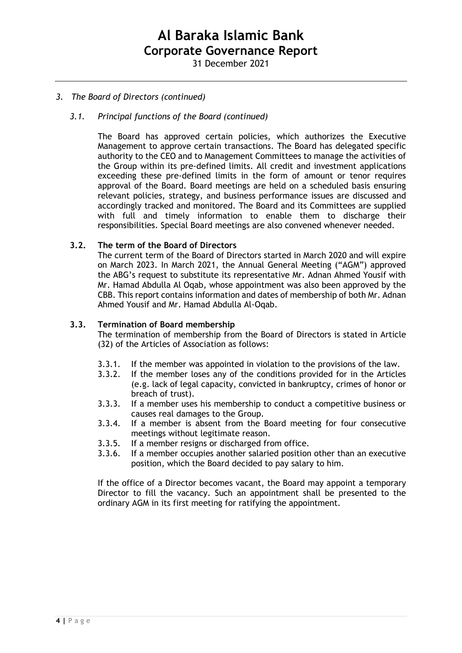# *3. The Board of Directors (continued)*

## *3.1. Principal functions of the Board (continued)*

The Board has approved certain policies, which authorizes the Executive Management to approve certain transactions. The Board has delegated specific authority to the CEO and to Management Committees to manage the activities of the Group within its pre-defined limits. All credit and investment applications exceeding these pre-defined limits in the form of amount or tenor requires approval of the Board. Board meetings are held on a scheduled basis ensuring relevant policies, strategy, and business performance issues are discussed and accordingly tracked and monitored. The Board and its Committees are supplied with full and timely information to enable them to discharge their responsibilities. Special Board meetings are also convened whenever needed.

### **3.2. The term of the Board of Directors**

The current term of the Board of Directors started in March 2020 and will expire on March 2023. In March 2021, the Annual General Meeting ("AGM") approved the ABG's request to substitute its representative Mr. Adnan Ahmed Yousif with Mr. Hamad Abdulla Al Oqab, whose appointment was also been approved by the CBB. This report contains information and dates of membership of both Mr. Adnan Ahmed Yousif and Mr. Hamad Abdulla Al-Oqab.

### **3.3. Termination of Board membership**

The termination of membership from the Board of Directors is stated in Article (32) of the Articles of Association as follows:

- 3.3.1. If the member was appointed in violation to the provisions of the law.
- 3.3.2. If the member loses any of the conditions provided for in the Articles (e.g. lack of legal capacity, convicted in bankruptcy, crimes of honor or breach of trust).
- 3.3.3. If a member uses his membership to conduct a competitive business or causes real damages to the Group.
- 3.3.4. If a member is absent from the Board meeting for four consecutive meetings without legitimate reason.
- 3.3.5. If a member resigns or discharged from office.
- 3.3.6. If a member occupies another salaried position other than an executive position, which the Board decided to pay salary to him.

If the office of a Director becomes vacant, the Board may appoint a temporary Director to fill the vacancy. Such an appointment shall be presented to the ordinary AGM in its first meeting for ratifying the appointment.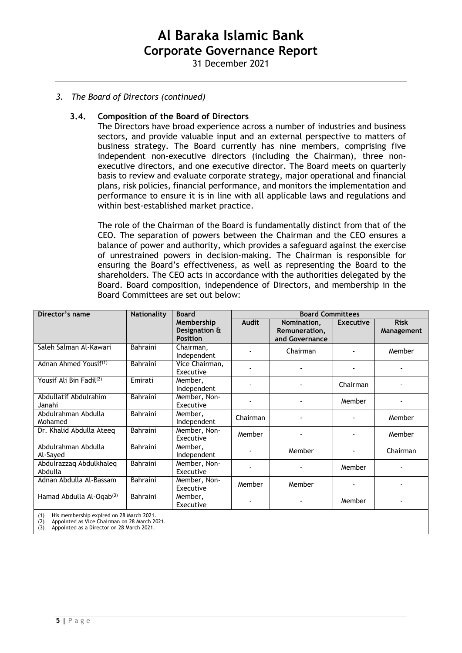31 December 2021

## *3. The Board of Directors (continued)*

#### **3.4. Composition of the Board of Directors**

The Directors have broad experience across a number of industries and business sectors, and provide valuable input and an external perspective to matters of business strategy. The Board currently has nine members, comprising five independent non-executive directors (including the Chairman), three nonexecutive directors, and one executive director. The Board meets on quarterly basis to review and evaluate corporate strategy, major operational and financial plans, risk policies, financial performance, and monitors the implementation and performance to ensure it is in line with all applicable laws and regulations and within best-established market practice.

The role of the Chairman of the Board is fundamentally distinct from that of the CEO. The separation of powers between the Chairman and the CEO ensures a balance of power and authority, which provides a safeguard against the exercise of unrestrained powers in decision-making. The Chairman is responsible for ensuring the Board's effectiveness, as well as representing the Board to the shareholders. The CEO acts in accordance with the authorities delegated by the Board. Board composition, independence of Directors, and membership in the Board Committees are set out below:

| Director's name                                                                                        | <b>Nationality</b> | <b>Board</b>                                   | <b>Board Committees</b> |                                                |                  |                           |  |
|--------------------------------------------------------------------------------------------------------|--------------------|------------------------------------------------|-------------------------|------------------------------------------------|------------------|---------------------------|--|
|                                                                                                        |                    | Membership<br>Designation &<br><b>Position</b> | <b>Audit</b>            | Nomination,<br>Remuneration,<br>and Governance | <b>Executive</b> | <b>Risk</b><br>Management |  |
| Saleh Salman Al-Kawari                                                                                 | <b>Bahraini</b>    | Chairman,<br>Independent                       |                         | Chairman                                       |                  | Member                    |  |
| Adnan Ahmed Yousif <sup>(1)</sup>                                                                      | <b>Bahraini</b>    | Vice Chairman,<br>Executive                    |                         |                                                |                  |                           |  |
| Yousif Ali Bin Fadil <sup>(2)</sup>                                                                    | Emirati            | Member,<br>Independent                         |                         |                                                | Chairman         |                           |  |
| Abdullatif Abdulrahim<br>Janahi                                                                        | <b>Bahraini</b>    | Member, Non-<br>Executive                      |                         |                                                | Member           |                           |  |
| Abdulrahman Abdulla<br>Mohamed                                                                         | Bahraini           | Member,<br>Independent                         | Chairman                |                                                |                  | Member                    |  |
| Dr. Khalid Abdulla Ateeq                                                                               | Bahraini           | Member, Non-<br>Executive                      | Member                  |                                                |                  | Member                    |  |
| Abdulrahman Abdulla<br>Al-Sayed                                                                        | <b>Bahraini</b>    | Member,<br>Independent                         |                         | Member                                         |                  | Chairman                  |  |
| Abdulrazzaq Abdulkhaleq<br>Abdulla                                                                     | <b>Bahraini</b>    | Member, Non-<br>Executive                      |                         |                                                | Member           |                           |  |
| Adnan Abdulla Al-Bassam                                                                                | <b>Bahraini</b>    | Member, Non-<br>Executive                      | Member                  | Member                                         |                  |                           |  |
| Hamad Abdulla Al-Oqab <sup>(3)</sup>                                                                   | <b>Bahraini</b>    | Member,<br>Executive                           |                         |                                                | Member           |                           |  |
| His membership expired on 28 March 2021.<br>(1)<br>Appointed as Vice Chairman on 28 March 2021.<br>(2) |                    |                                                |                         |                                                |                  |                           |  |

(3) Appointed as a Director on 28 March 2021.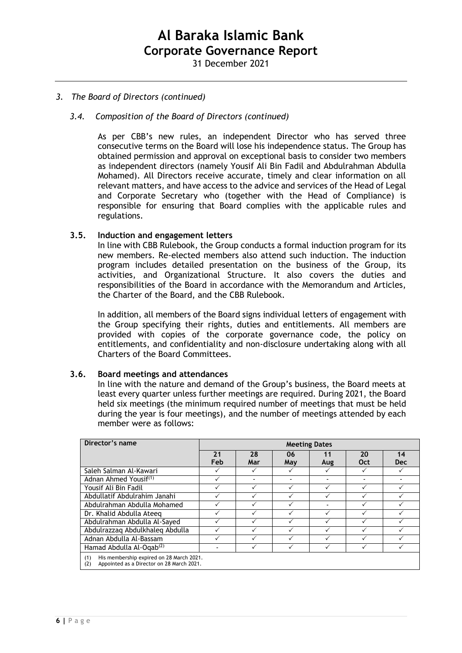# *3. The Board of Directors (continued)*

## *3.4. Composition of the Board of Directors (continued)*

As per CBB's new rules, an independent Director who has served three consecutive terms on the Board will lose his independence status. The Group has obtained permission and approval on exceptional basis to consider two members as independent directors (namely Yousif Ali Bin Fadil and Abdulrahman Abdulla Mohamed). All Directors receive accurate, timely and clear information on all relevant matters, and have access to the advice and services of the Head of Legal and Corporate Secretary who (together with the Head of Compliance) is responsible for ensuring that Board complies with the applicable rules and regulations.

### **3.5. Induction and engagement letters**

In line with CBB Rulebook, the Group conducts a formal induction program for its new members. Re-elected members also attend such induction. The induction program includes detailed presentation on the business of the Group, its activities, and Organizational Structure. It also covers the duties and responsibilities of the Board in accordance with the Memorandum and Articles, the Charter of the Board, and the CBB Rulebook.

In addition, all members of the Board signs individual letters of engagement with the Group specifying their rights, duties and entitlements. All members are provided with copies of the corporate governance code, the policy on entitlements, and confidentiality and non-disclosure undertaking along with all Charters of the Board Committees.

#### **3.6. Board meetings and attendances**

In line with the nature and demand of the Group's business, the Board meets at least every quarter unless further meetings are required. During 2021, the Board held six meetings (the minimum required number of meetings that must be held during the year is four meetings), and the number of meetings attended by each member were as follows:

| Director's name                                                                                     | <b>Meeting Dates</b> |     |              |     |     |            |
|-----------------------------------------------------------------------------------------------------|----------------------|-----|--------------|-----|-----|------------|
|                                                                                                     | 21                   | 28  | 06           | 11  | 20  | 14         |
|                                                                                                     | Feb                  | Mar | May          | Aug | Oct | <b>Dec</b> |
| Saleh Salman Al-Kawari                                                                              |                      |     | ✓            |     | ✓   |            |
| Adnan Ahmed Yousif <sup>(1)</sup>                                                                   |                      |     |              |     |     |            |
| Yousif Ali Bin Fadil                                                                                |                      |     | $\checkmark$ |     |     |            |
| Abdullatif Abdulrahim Janahi                                                                        |                      |     |              |     |     |            |
| Abdulrahman Abdulla Mohamed                                                                         |                      |     |              |     |     |            |
| Dr. Khalid Abdulla Ateeg                                                                            |                      |     | ✓            |     |     |            |
| Abdulrahman Abdulla Al-Sayed                                                                        |                      |     |              |     |     |            |
| Abdulrazzag Abdulkhaleg Abdulla                                                                     |                      |     | $\checkmark$ |     |     |            |
| Adnan Abdulla Al-Bassam                                                                             |                      |     |              |     |     |            |
| Hamad Abdulla Al-Ogab <sup>(2)</sup>                                                                |                      |     |              |     |     |            |
| His membership expired on 28 March 2021.<br>(1)<br>Appointed as a Director on 28 March 2021.<br>(2) |                      |     |              |     |     |            |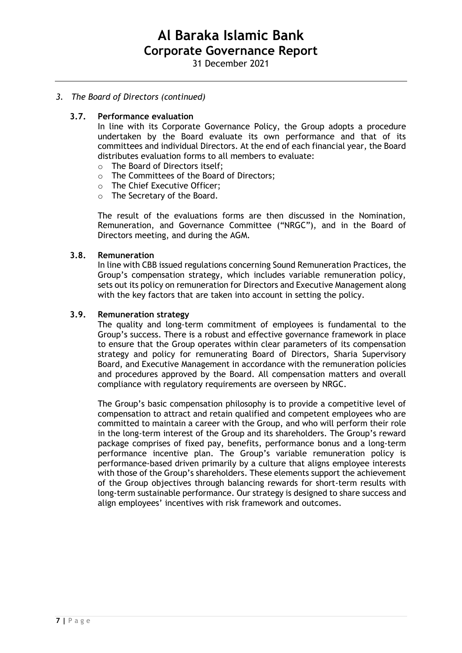# *3. The Board of Directors (continued)*

### **3.7. Performance evaluation**

In line with its Corporate Governance Policy, the Group adopts a procedure undertaken by the Board evaluate its own performance and that of its committees and individual Directors. At the end of each financial year, the Board distributes evaluation forms to all members to evaluate:

- o The Board of Directors itself;
- o The Committees of the Board of Directors;
- o The Chief Executive Officer;
- o The Secretary of the Board.

The result of the evaluations forms are then discussed in the Nomination, Remuneration, and Governance Committee ("NRGC"), and in the Board of Directors meeting, and during the AGM.

### **3.8. Remuneration**

In line with CBB issued regulations concerning Sound Remuneration Practices, the Group's compensation strategy, which includes variable remuneration policy, sets out its policy on remuneration for Directors and Executive Management along with the key factors that are taken into account in setting the policy.

### **3.9. Remuneration strategy**

The quality and long-term commitment of employees is fundamental to the Group's success. There is a robust and effective governance framework in place to ensure that the Group operates within clear parameters of its compensation strategy and policy for remunerating Board of Directors, Sharia Supervisory Board, and Executive Management in accordance with the remuneration policies and procedures approved by the Board. All compensation matters and overall compliance with regulatory requirements are overseen by NRGC.

The Group's basic compensation philosophy is to provide a competitive level of compensation to attract and retain qualified and competent employees who are committed to maintain a career with the Group, and who will perform their role in the long-term interest of the Group and its shareholders. The Group's reward package comprises of fixed pay, benefits, performance bonus and a long-term performance incentive plan. The Group's variable remuneration policy is performance-based driven primarily by a culture that aligns employee interests with those of the Group's shareholders. These elements support the achievement of the Group objectives through balancing rewards for short-term results with long-term sustainable performance. Our strategy is designed to share success and align employees' incentives with risk framework and outcomes.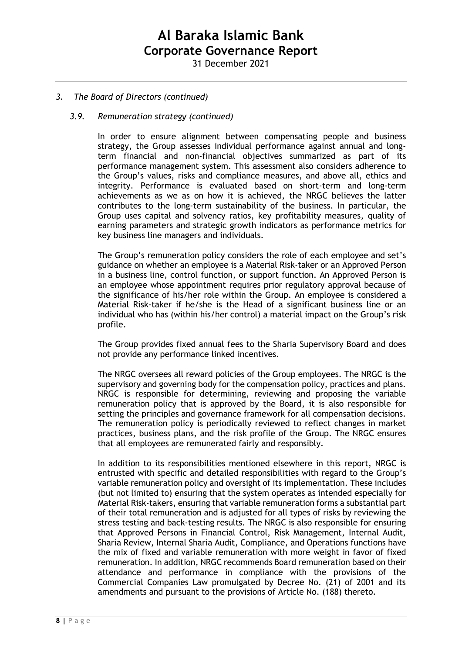31 December 2021

## *3. The Board of Directors (continued)*

#### *3.9. Remuneration strategy (continued)*

In order to ensure alignment between compensating people and business strategy, the Group assesses individual performance against annual and longterm financial and non-financial objectives summarized as part of its performance management system. This assessment also considers adherence to the Group's values, risks and compliance measures, and above all, ethics and integrity. Performance is evaluated based on short-term and long-term achievements as we as on how it is achieved, the NRGC believes the latter contributes to the long-term sustainability of the business. In particular, the Group uses capital and solvency ratios, key profitability measures, quality of earning parameters and strategic growth indicators as performance metrics for key business line managers and individuals.

The Group's remuneration policy considers the role of each employee and set's guidance on whether an employee is a Material Risk-taker or an Approved Person in a business line, control function, or support function. An Approved Person is an employee whose appointment requires prior regulatory approval because of the significance of his/her role within the Group. An employee is considered a Material Risk-taker if he/she is the Head of a significant business line or an individual who has (within his/her control) a material impact on the Group's risk profile.

The Group provides fixed annual fees to the Sharia Supervisory Board and does not provide any performance linked incentives.

The NRGC oversees all reward policies of the Group employees. The NRGC is the supervisory and governing body for the compensation policy, practices and plans. NRGC is responsible for determining, reviewing and proposing the variable remuneration policy that is approved by the Board, it is also responsible for setting the principles and governance framework for all compensation decisions. The remuneration policy is periodically reviewed to reflect changes in market practices, business plans, and the risk profile of the Group. The NRGC ensures that all employees are remunerated fairly and responsibly.

In addition to its responsibilities mentioned elsewhere in this report, NRGC is entrusted with specific and detailed responsibilities with regard to the Group's variable remuneration policy and oversight of its implementation. These includes (but not limited to) ensuring that the system operates as intended especially for Material Risk-takers, ensuring that variable remuneration forms a substantial part of their total remuneration and is adjusted for all types of risks by reviewing the stress testing and back-testing results. The NRGC is also responsible for ensuring that Approved Persons in Financial Control, Risk Management, Internal Audit, Sharia Review, Internal Sharia Audit, Compliance, and Operations functions have the mix of fixed and variable remuneration with more weight in favor of fixed remuneration. In addition, NRGC recommends Board remuneration based on their attendance and performance in compliance with the provisions of the Commercial Companies Law promulgated by Decree No. (21) of 2001 and its amendments and pursuant to the provisions of Article No. (188) thereto.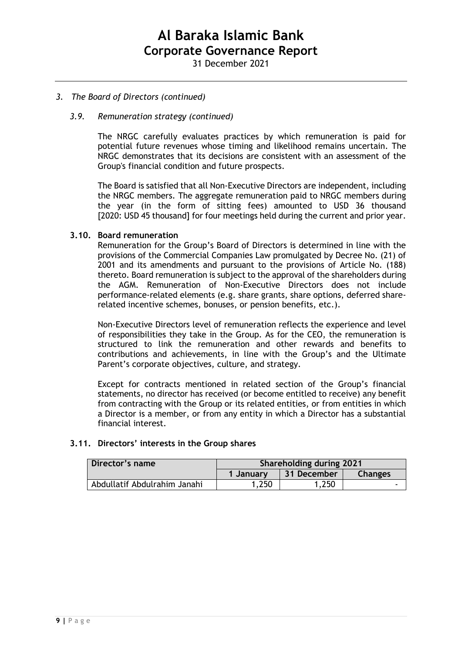## *3. The Board of Directors (continued)*

## *3.9. Remuneration strategy (continued)*

The NRGC carefully evaluates practices by which remuneration is paid for potential future revenues whose timing and likelihood remains uncertain. The NRGC demonstrates that its decisions are consistent with an assessment of the Group's financial condition and future prospects.

The Board is satisfied that all Non-Executive Directors are independent, including the NRGC members. The aggregate remuneration paid to NRGC members during the year (in the form of sitting fees) amounted to USD 36 thousand [2020: USD 45 thousand] for four meetings held during the current and prior year.

#### **3.10. Board remuneration**

Remuneration for the Group's Board of Directors is determined in line with the provisions of the Commercial Companies Law promulgated by Decree No. (21) of 2001 and its amendments and pursuant to the provisions of Article No. (188) thereto. Board remuneration is subject to the approval of the shareholders during the AGM. Remuneration of Non-Executive Directors does not include performance-related elements (e.g. share grants, share options, deferred sharerelated incentive schemes, bonuses, or pension benefits, etc.).

Non-Executive Directors level of remuneration reflects the experience and level of responsibilities they take in the Group. As for the CEO, the remuneration is structured to link the remuneration and other rewards and benefits to contributions and achievements, in line with the Group's and the Ultimate Parent's corporate objectives, culture, and strategy.

Except for contracts mentioned in related section of the Group's financial statements, no director has received (or become entitled to receive) any benefit from contracting with the Group or its related entities, or from entities in which a Director is a member, or from any entity in which a Director has a substantial financial interest.

#### **3.11. Directors' interests in the Group shares**

| Director's name              | Shareholding during 2021 |             |                |  |  |
|------------------------------|--------------------------|-------------|----------------|--|--|
|                              | 1 January                | 31 December | <b>Changes</b> |  |  |
| Abdullatif Abdulrahim Janahi | .250                     | 1,250       |                |  |  |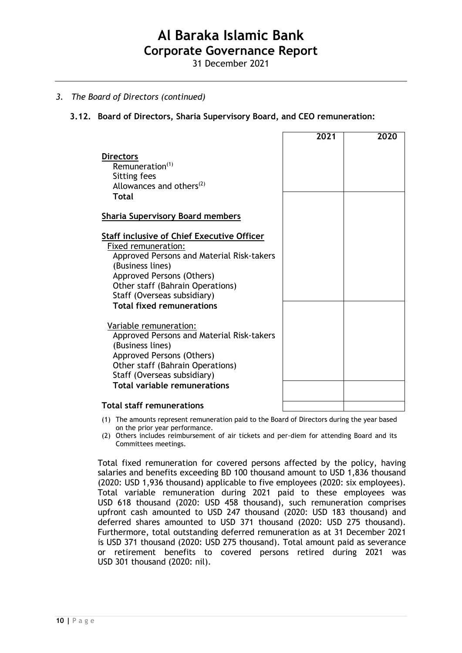31 December 2021

## *3. The Board of Directors (continued)*

## **3.12. Board of Directors, Sharia Supervisory Board, and CEO remuneration:**

|                                                                                                                                                                                                                                                                               | 2021 | 2020 |
|-------------------------------------------------------------------------------------------------------------------------------------------------------------------------------------------------------------------------------------------------------------------------------|------|------|
| <b>Directors</b><br>Remuneration <sup>(1)</sup><br>Sitting fees<br>Allowances and others <sup>(2)</sup><br>Total                                                                                                                                                              |      |      |
| <b>Sharia Supervisory Board members</b>                                                                                                                                                                                                                                       |      |      |
| <b>Staff inclusive of Chief Executive Officer</b><br>Fixed remuneration:<br>Approved Persons and Material Risk-takers<br>(Business lines)<br>Approved Persons (Others)<br>Other staff (Bahrain Operations)<br>Staff (Overseas subsidiary)<br><b>Total fixed remunerations</b> |      |      |
| Variable remuneration:<br>Approved Persons and Material Risk-takers<br>(Business lines)<br>Approved Persons (Others)<br>Other staff (Bahrain Operations)<br>Staff (Overseas subsidiary)<br><b>Total variable remunerations</b>                                                |      |      |
| <b>Total staff remunerations</b>                                                                                                                                                                                                                                              |      |      |

- (1) The amounts represent remuneration paid to the Board of Directors during the year based on the prior year performance.
- (2) Others includes reimbursement of air tickets and per-diem for attending Board and its Committees meetings.

Total fixed remuneration for covered persons affected by the policy, having salaries and benefits exceeding BD 100 thousand amount to USD 1,836 thousand (2020: USD 1,936 thousand) applicable to five employees (2020: six employees). Total variable remuneration during 2021 paid to these employees was USD 618 thousand (2020: USD 458 thousand), such remuneration comprises upfront cash amounted to USD 247 thousand (2020: USD 183 thousand) and deferred shares amounted to USD 371 thousand (2020: USD 275 thousand). Furthermore, total outstanding deferred remuneration as at 31 December 2021 is USD 371 thousand (2020: USD 275 thousand). Total amount paid as severance or retirement benefits to covered persons retired during 2021 was USD 301 thousand (2020: nil).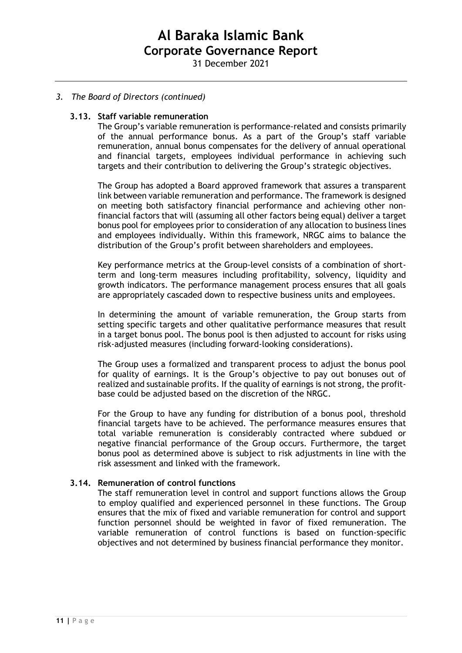## *3. The Board of Directors (continued)*

#### **3.13. Staff variable remuneration**

The Group's variable remuneration is performance-related and consists primarily of the annual performance bonus. As a part of the Group's staff variable remuneration, annual bonus compensates for the delivery of annual operational and financial targets, employees individual performance in achieving such targets and their contribution to delivering the Group's strategic objectives.

The Group has adopted a Board approved framework that assures a transparent link between variable remuneration and performance. The framework is designed on meeting both satisfactory financial performance and achieving other nonfinancial factors that will (assuming all other factors being equal) deliver a target bonus pool for employees prior to consideration of any allocation to business lines and employees individually. Within this framework, NRGC aims to balance the distribution of the Group's profit between shareholders and employees.

Key performance metrics at the Group-level consists of a combination of shortterm and long-term measures including profitability, solvency, liquidity and growth indicators. The performance management process ensures that all goals are appropriately cascaded down to respective business units and employees.

In determining the amount of variable remuneration, the Group starts from setting specific targets and other qualitative performance measures that result in a target bonus pool. The bonus pool is then adjusted to account for risks using risk-adjusted measures (including forward-looking considerations).

The Group uses a formalized and transparent process to adjust the bonus pool for quality of earnings. It is the Group's objective to pay out bonuses out of realized and sustainable profits. If the quality of earnings is not strong, the profitbase could be adjusted based on the discretion of the NRGC.

For the Group to have any funding for distribution of a bonus pool, threshold financial targets have to be achieved. The performance measures ensures that total variable remuneration is considerably contracted where subdued or negative financial performance of the Group occurs. Furthermore, the target bonus pool as determined above is subject to risk adjustments in line with the risk assessment and linked with the framework.

#### **3.14. Remuneration of control functions**

The staff remuneration level in control and support functions allows the Group to employ qualified and experienced personnel in these functions. The Group ensures that the mix of fixed and variable remuneration for control and support function personnel should be weighted in favor of fixed remuneration. The variable remuneration of control functions is based on function-specific objectives and not determined by business financial performance they monitor.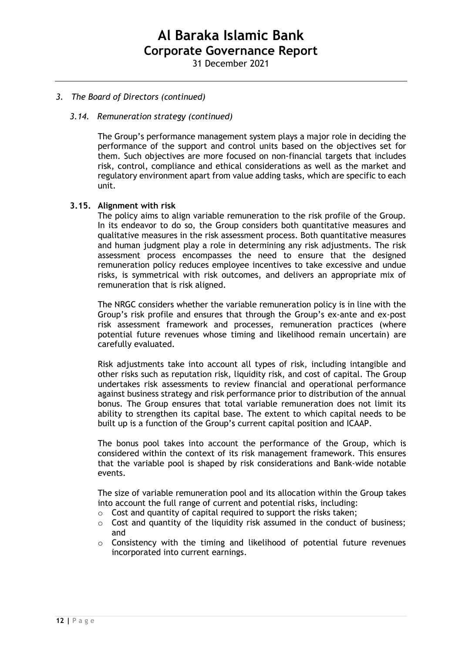## *3. The Board of Directors (continued)*

#### *3.14. Remuneration strategy (continued)*

The Group's performance management system plays a major role in deciding the performance of the support and control units based on the objectives set for them. Such objectives are more focused on non-financial targets that includes risk, control, compliance and ethical considerations as well as the market and regulatory environment apart from value adding tasks, which are specific to each unit.

#### **3.15. Alignment with risk**

The policy aims to align variable remuneration to the risk profile of the Group. In its endeavor to do so, the Group considers both quantitative measures and qualitative measures in the risk assessment process. Both quantitative measures and human judgment play a role in determining any risk adjustments. The risk assessment process encompasses the need to ensure that the designed remuneration policy reduces employee incentives to take excessive and undue risks, is symmetrical with risk outcomes, and delivers an appropriate mix of remuneration that is risk aligned.

The NRGC considers whether the variable remuneration policy is in line with the Group's risk profile and ensures that through the Group's ex-ante and ex-post risk assessment framework and processes, remuneration practices (where potential future revenues whose timing and likelihood remain uncertain) are carefully evaluated.

Risk adjustments take into account all types of risk, including intangible and other risks such as reputation risk, liquidity risk, and cost of capital. The Group undertakes risk assessments to review financial and operational performance against business strategy and risk performance prior to distribution of the annual bonus. The Group ensures that total variable remuneration does not limit its ability to strengthen its capital base. The extent to which capital needs to be built up is a function of the Group's current capital position and ICAAP.

The bonus pool takes into account the performance of the Group, which is considered within the context of its risk management framework. This ensures that the variable pool is shaped by risk considerations and Bank-wide notable events.

The size of variable remuneration pool and its allocation within the Group takes into account the full range of current and potential risks, including:

- o Cost and quantity of capital required to support the risks taken;
- o Cost and quantity of the liquidity risk assumed in the conduct of business; and
- o Consistency with the timing and likelihood of potential future revenues incorporated into current earnings.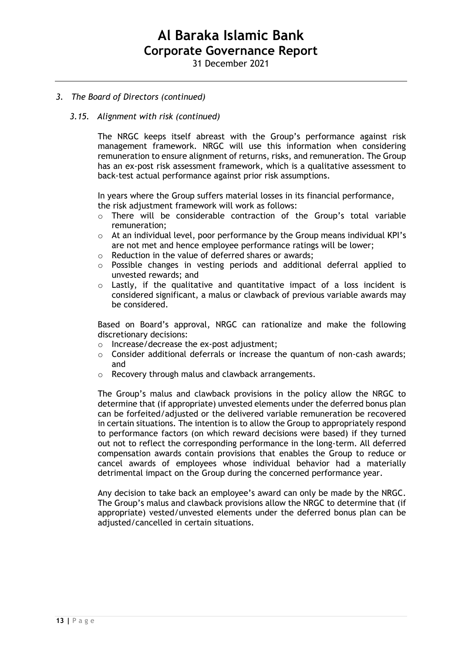## *3. The Board of Directors (continued)*

#### *3.15. Alignment with risk (continued)*

The NRGC keeps itself abreast with the Group's performance against risk management framework. NRGC will use this information when considering remuneration to ensure alignment of returns, risks, and remuneration. The Group has an ex-post risk assessment framework, which is a qualitative assessment to back-test actual performance against prior risk assumptions.

In years where the Group suffers material losses in its financial performance, the risk adjustment framework will work as follows:

- o There will be considerable contraction of the Group's total variable remuneration;
- o At an individual level, poor performance by the Group means individual KPI's are not met and hence employee performance ratings will be lower;
- o Reduction in the value of deferred shares or awards;
- $\circ$  Possible changes in vesting periods and additional deferral applied to unvested rewards; and
- Lastly, if the qualitative and quantitative impact of a loss incident is considered significant, a malus or clawback of previous variable awards may be considered.

Based on Board's approval, NRGC can rationalize and make the following discretionary decisions:

- o Increase/decrease the ex-post adjustment;
- $\circ$  Consider additional deferrals or increase the quantum of non-cash awards; and
- o Recovery through malus and clawback arrangements.

The Group's malus and clawback provisions in the policy allow the NRGC to determine that (if appropriate) unvested elements under the deferred bonus plan can be forfeited/adjusted or the delivered variable remuneration be recovered in certain situations. The intention is to allow the Group to appropriately respond to performance factors (on which reward decisions were based) if they turned out not to reflect the corresponding performance in the long-term. All deferred compensation awards contain provisions that enables the Group to reduce or cancel awards of employees whose individual behavior had a materially detrimental impact on the Group during the concerned performance year.

Any decision to take back an employee's award can only be made by the NRGC. The Group's malus and clawback provisions allow the NRGC to determine that (if appropriate) vested/unvested elements under the deferred bonus plan can be adjusted/cancelled in certain situations.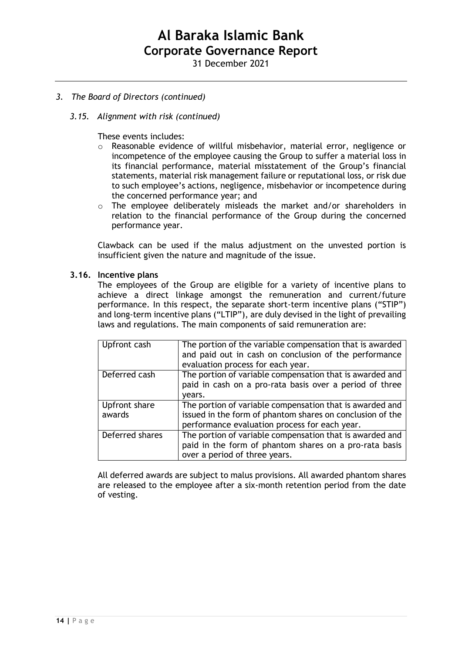31 December 2021

## *3. The Board of Directors (continued)*

### *3.15. Alignment with risk (continued)*

These events includes:

- o Reasonable evidence of willful misbehavior, material error, negligence or incompetence of the employee causing the Group to suffer a material loss in its financial performance, material misstatement of the Group's financial statements, material risk management failure or reputational loss, or risk due to such employee's actions, negligence, misbehavior or incompetence during the concerned performance year; and
- o The employee deliberately misleads the market and/or shareholders in relation to the financial performance of the Group during the concerned performance year.

Clawback can be used if the malus adjustment on the unvested portion is insufficient given the nature and magnitude of the issue.

#### **3.16. Incentive plans**

The employees of the Group are eligible for a variety of incentive plans to achieve a direct linkage amongst the remuneration and current/future performance. In this respect, the separate short-term incentive plans ("STIP") and long-term incentive plans ("LTIP"), are duly devised in the light of prevailing laws and regulations. The main components of said remuneration are:

| Upfront cash            | The portion of the variable compensation that is awarded<br>and paid out in cash on conclusion of the performance<br>evaluation process for each year.                 |
|-------------------------|------------------------------------------------------------------------------------------------------------------------------------------------------------------------|
| Deferred cash           | The portion of variable compensation that is awarded and<br>paid in cash on a pro-rata basis over a period of three<br>vears.                                          |
| Upfront share<br>awards | The portion of variable compensation that is awarded and<br>issued in the form of phantom shares on conclusion of the<br>performance evaluation process for each year. |
| Deferred shares         | The portion of variable compensation that is awarded and<br>paid in the form of phantom shares on a pro-rata basis<br>over a period of three years.                    |

All deferred awards are subject to malus provisions. All awarded phantom shares are released to the employee after a six-month retention period from the date of vesting.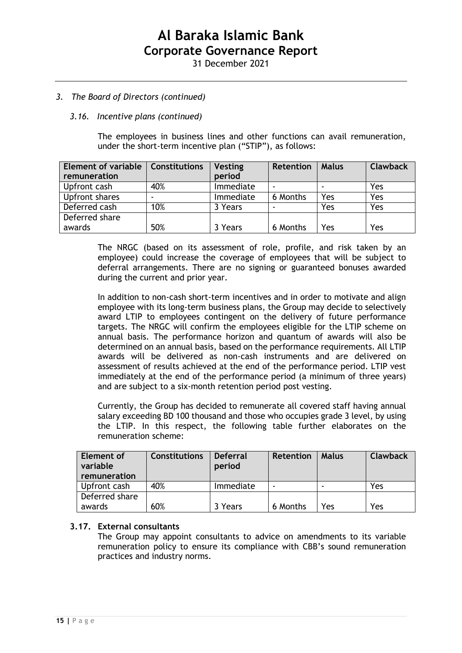31 December 2021

## *3. The Board of Directors (continued)*

## *3.16. Incentive plans (continued)*

The employees in business lines and other functions can avail remuneration, under the short-term incentive plan ("STIP"), as follows:

| <b>Element of variable</b><br>remuneration | <b>Constitutions</b> | <b>Vesting</b><br>period | <b>Retention</b> | <b>Malus</b> | <b>Clawback</b> |
|--------------------------------------------|----------------------|--------------------------|------------------|--------------|-----------------|
| Upfront cash                               | 40%                  | Immediate                |                  |              | Yes             |
| Upfront shares                             | -                    | Immediate                | 6 Months         | Yes          | Yes             |
| Deferred cash                              | 10%                  | 3 Years                  |                  | Yes          | Yes             |
| Deferred share                             |                      |                          |                  |              |                 |
| awards                                     | 50%                  | 3 Years                  | 6 Months         | Yes          | Yes             |

The NRGC (based on its assessment of role, profile, and risk taken by an employee) could increase the coverage of employees that will be subject to deferral arrangements. There are no signing or guaranteed bonuses awarded during the current and prior year.

In addition to non-cash short-term incentives and in order to motivate and align employee with its long-term business plans, the Group may decide to selectively award LTIP to employees contingent on the delivery of future performance targets. The NRGC will confirm the employees eligible for the LTIP scheme on annual basis. The performance horizon and quantum of awards will also be determined on an annual basis, based on the performance requirements. All LTIP awards will be delivered as non-cash instruments and are delivered on assessment of results achieved at the end of the performance period. LTIP vest immediately at the end of the performance period (a minimum of three years) and are subject to a six-month retention period post vesting.

Currently, the Group has decided to remunerate all covered staff having annual salary exceeding BD 100 thousand and those who occupies grade 3 level, by using the LTIP. In this respect, the following table further elaborates on the remuneration scheme:

| <b>Element of</b><br>variable<br>remuneration | <b>Constitutions</b> | <b>Deferral</b><br>period | <b>Retention</b> | <b>Malus</b> | <b>Clawback</b> |
|-----------------------------------------------|----------------------|---------------------------|------------------|--------------|-----------------|
|                                               |                      |                           |                  |              |                 |
| Upfront cash                                  | 40%                  | Immediate                 |                  |              | Yes             |
| Deferred share                                |                      |                           |                  |              |                 |
| awards                                        | 60%                  | 3 Years                   | 6 Months         | Yes          | Yes             |

# **3.17. External consultants**

The Group may appoint consultants to advice on amendments to its variable remuneration policy to ensure its compliance with CBB's sound remuneration practices and industry norms.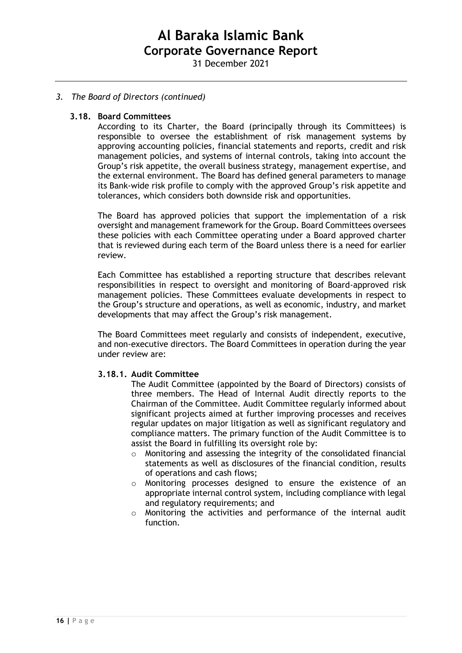31 December 2021

# *3. The Board of Directors (continued)*

### **3.18. Board Committees**

According to its Charter, the Board (principally through its Committees) is responsible to oversee the establishment of risk management systems by approving accounting policies, financial statements and reports, credit and risk management policies, and systems of internal controls, taking into account the Group's risk appetite, the overall business strategy, management expertise, and the external environment. The Board has defined general parameters to manage its Bank-wide risk profile to comply with the approved Group's risk appetite and tolerances, which considers both downside risk and opportunities.

The Board has approved policies that support the implementation of a risk oversight and management framework for the Group. Board Committees oversees these policies with each Committee operating under a Board approved charter that is reviewed during each term of the Board unless there is a need for earlier review.

Each Committee has established a reporting structure that describes relevant responsibilities in respect to oversight and monitoring of Board-approved risk management policies. These Committees evaluate developments in respect to the Group's structure and operations, as well as economic, industry, and market developments that may affect the Group's risk management.

The Board Committees meet regularly and consists of independent, executive, and non-executive directors. The Board Committees in operation during the year under review are:

### **3.18.1. Audit Committee**

The Audit Committee (appointed by the Board of Directors) consists of three members. The Head of Internal Audit directly reports to the Chairman of the Committee. Audit Committee regularly informed about significant projects aimed at further improving processes and receives regular updates on major litigation as well as significant regulatory and compliance matters. The primary function of the Audit Committee is to assist the Board in fulfilling its oversight role by:

- o Monitoring and assessing the integrity of the consolidated financial statements as well as disclosures of the financial condition, results of operations and cash flows;
- o Monitoring processes designed to ensure the existence of an appropriate internal control system, including compliance with legal and regulatory requirements; and
- o Monitoring the activities and performance of the internal audit function.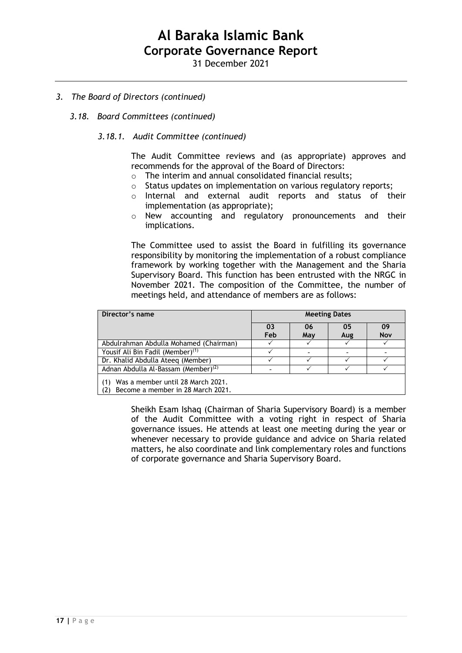31 December 2021

# *3. The Board of Directors (continued)*

### *3.18. Board Committees (continued)*

### *3.18.1. Audit Committee (continued)*

The Audit Committee reviews and (as appropriate) approves and recommends for the approval of the Board of Directors:

- o The interim and annual consolidated financial results;
- o Status updates on implementation on various regulatory reports;
- o Internal and external audit reports and status of their implementation (as appropriate);
- o New accounting and regulatory pronouncements and their implications.

The Committee used to assist the Board in fulfilling its governance responsibility by monitoring the implementation of a robust compliance framework by working together with the Management and the Sharia Supervisory Board. This function has been entrusted with the NRGC in November 2021. The composition of the Committee, the number of meetings held, and attendance of members are as follows:

| Director's name                                                               | <b>Meeting Dates</b> |     |     |                  |  |
|-------------------------------------------------------------------------------|----------------------|-----|-----|------------------|--|
|                                                                               | 03<br>Feb            | 06  | 05  | 09<br><b>Nov</b> |  |
|                                                                               |                      | May | Aug |                  |  |
| Abdulrahman Abdulla Mohamed (Chairman)                                        |                      |     |     |                  |  |
| Yousif Ali Bin Fadil (Member) <sup>(1)</sup>                                  |                      |     |     |                  |  |
| Dr. Khalid Abdulla Ateeg (Member)                                             |                      |     |     |                  |  |
| Adnan Abdulla Al-Bassam (Member) <sup>(2)</sup>                               |                      |     |     |                  |  |
| Was a member until 28 March 2021.<br>(1)<br>Become a member in 28 March 2021. |                      |     |     |                  |  |

Sheikh Esam Ishaq (Chairman of Sharia Supervisory Board) is a member of the Audit Committee with a voting right in respect of Sharia governance issues. He attends at least one meeting during the year or whenever necessary to provide guidance and advice on Sharia related matters, he also coordinate and link complementary roles and functions of corporate governance and Sharia Supervisory Board.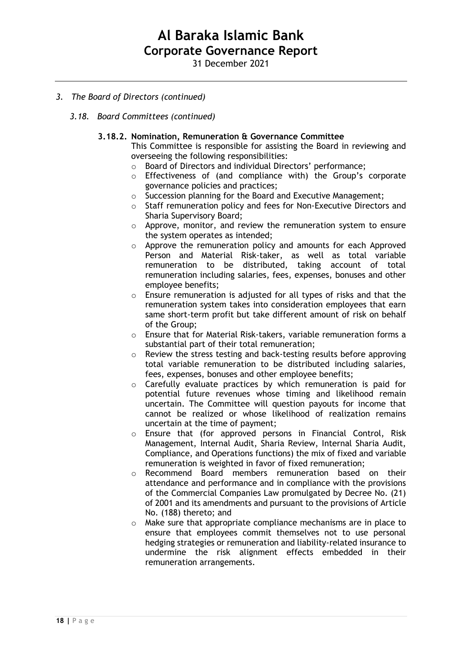31 December 2021

# *3. The Board of Directors (continued)*

*3.18. Board Committees (continued)*

## **3.18.2. Nomination, Remuneration & Governance Committee**

This Committee is responsible for assisting the Board in reviewing and overseeing the following responsibilities:

- o Board of Directors and individual Directors' performance;
- o Effectiveness of (and compliance with) the Group's corporate governance policies and practices;
- o Succession planning for the Board and Executive Management;
- o Staff remuneration policy and fees for Non-Executive Directors and Sharia Supervisory Board;
- o Approve, monitor, and review the remuneration system to ensure the system operates as intended;
- o Approve the remuneration policy and amounts for each Approved Person and Material Risk-taker, as well as total variable remuneration to be distributed, taking account of total remuneration including salaries, fees, expenses, bonuses and other employee benefits;
- o Ensure remuneration is adjusted for all types of risks and that the remuneration system takes into consideration employees that earn same short-term profit but take different amount of risk on behalf of the Group;
- o Ensure that for Material Risk-takers, variable remuneration forms a substantial part of their total remuneration;
- o Review the stress testing and back-testing results before approving total variable remuneration to be distributed including salaries, fees, expenses, bonuses and other employee benefits;
- o Carefully evaluate practices by which remuneration is paid for potential future revenues whose timing and likelihood remain uncertain. The Committee will question payouts for income that cannot be realized or whose likelihood of realization remains uncertain at the time of payment;
- o Ensure that (for approved persons in Financial Control, Risk Management, Internal Audit, Sharia Review, Internal Sharia Audit, Compliance, and Operations functions) the mix of fixed and variable remuneration is weighted in favor of fixed remuneration;
- o Recommend Board members remuneration based on their attendance and performance and in compliance with the provisions of the Commercial Companies Law promulgated by Decree No. (21) of 2001 and its amendments and pursuant to the provisions of Article No. (188) thereto; and
- o Make sure that appropriate compliance mechanisms are in place to ensure that employees commit themselves not to use personal hedging strategies or remuneration and liability-related insurance to undermine the risk alignment effects embedded in their remuneration arrangements.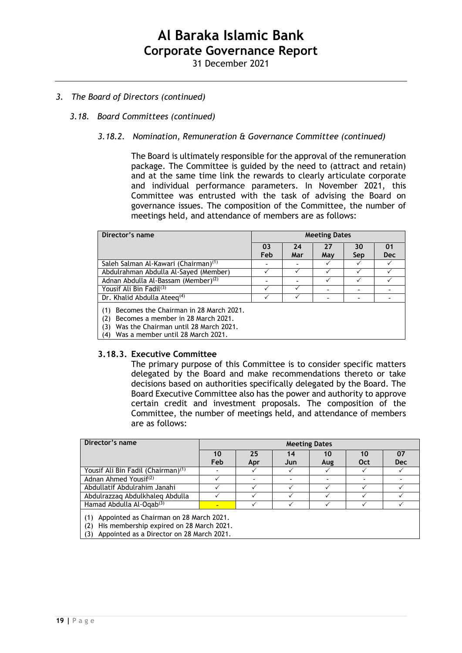31 December 2021

# *3. The Board of Directors (continued)*

## *3.18. Board Committees (continued)*

## *3.18.2. Nomination, Remuneration & Governance Committee (continued)*

The Board is ultimately responsible for the approval of the remuneration package. The Committee is guided by the need to (attract and retain) and at the same time link the rewards to clearly articulate corporate and individual performance parameters. In November 2021, this Committee was entrusted with the task of advising the Board on governance issues. The composition of the Committee, the number of meetings held, and attendance of members are as follows:

| Director's name                                                                                                                            | <b>Meeting Dates</b> |           |           |           |                  |
|--------------------------------------------------------------------------------------------------------------------------------------------|----------------------|-----------|-----------|-----------|------------------|
|                                                                                                                                            | 03<br>Feb            | 24<br>Mar | 27<br>May | 30<br>Sep | 01<br><b>Dec</b> |
| Saleh Salman Al-Kawari (Chairman) <sup>(1)</sup>                                                                                           |                      |           |           |           |                  |
| Abdulrahman Abdulla Al-Sayed (Member)                                                                                                      |                      |           |           |           |                  |
| Adnan Abdulla Al-Bassam (Member) <sup>(2)</sup>                                                                                            |                      |           |           |           |                  |
| Yousif Ali Bin Fadil <sup>(3)</sup>                                                                                                        |                      |           |           |           |                  |
| Dr. Khalid Abdulla Ateeq $(4)$                                                                                                             |                      |           |           |           |                  |
| Becomes the Chairman in 28 March 2021.<br>(1)<br>Becomes a member in 28 March 2021.<br>(2)<br>Was the Chairman until 28 March 2021.<br>(3) |                      |           |           |           |                  |

(4) Was a member until 28 March 2021.

#### **3.18.3. Executive Committee**

The primary purpose of this Committee is to consider specific matters delegated by the Board and make recommendations thereto or take decisions based on authorities specifically delegated by the Board. The Board Executive Committee also has the power and authority to approve certain credit and investment proposals. The composition of the Committee, the number of meetings held, and attendance of members are as follows:

| Director's name                                                                                   | <b>Meeting Dates</b> |           |           |           |           |                  |
|---------------------------------------------------------------------------------------------------|----------------------|-----------|-----------|-----------|-----------|------------------|
|                                                                                                   | 10<br>Feb            | 25<br>Apr | 14<br>Jun | 10<br>Aug | 10<br>Oct | 07<br><b>Dec</b> |
| Yousif Ali Bin Fadil (Chairman) <sup>(1)</sup>                                                    |                      |           |           |           |           |                  |
| Adnan Ahmed Yousif <sup>(2)</sup>                                                                 |                      |           |           |           |           |                  |
| Abdullatif Abdulrahim Janahi                                                                      |                      |           |           |           |           |                  |
| Abdulrazzag Abdulkhaleg Abdulla                                                                   |                      |           |           |           |           |                  |
| Hamad Abdulla Al-Ogab <sup>(3)</sup>                                                              |                      |           |           |           |           |                  |
| Appointed as Chairman on 28 March 2021.<br>(1)<br>His membership expired on 28 March 2021.<br>(2) |                      |           |           |           |           |                  |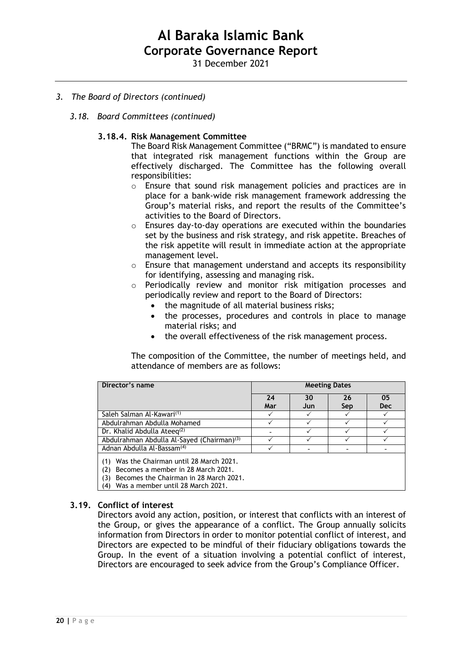31 December 2021

- *3. The Board of Directors (continued)*
	- *3.18. Board Committees (continued)*

## **3.18.4. Risk Management Committee**

The Board Risk Management Committee ("BRMC") is mandated to ensure that integrated risk management functions within the Group are effectively discharged. The Committee has the following overall responsibilities:

- o Ensure that sound risk management policies and practices are in place for a bank-wide risk management framework addressing the Group's material risks, and report the results of the Committee's activities to the Board of Directors.
- o Ensures day-to-day operations are executed within the boundaries set by the business and risk strategy, and risk appetite. Breaches of the risk appetite will result in immediate action at the appropriate management level.
- o Ensure that management understand and accepts its responsibility for identifying, assessing and managing risk.
- o Periodically review and monitor risk mitigation processes and periodically review and report to the Board of Directors:
	- the magnitude of all material business risks;
	- the processes, procedures and controls in place to manage material risks; and
	- the overall effectiveness of the risk management process.

The composition of the Committee, the number of meetings held, and attendance of members are as follows:

| Director's name                                                                                                                                                                        | <b>Meeting Dates</b> |           |           |                  |
|----------------------------------------------------------------------------------------------------------------------------------------------------------------------------------------|----------------------|-----------|-----------|------------------|
|                                                                                                                                                                                        | 24<br>Mar            | 30<br>Jun | 26<br>Sep | 05<br><b>Dec</b> |
| Saleh Salman Al-Kawari <sup>(1)</sup>                                                                                                                                                  |                      |           |           |                  |
| Abdulrahman Abdulla Mohamed                                                                                                                                                            |                      |           |           |                  |
| Dr. Khalid Abdulla Ateeq $(2)$                                                                                                                                                         |                      |           |           |                  |
| Abdulrahman Abdulla Al-Sayed (Chairman) <sup>(3)</sup>                                                                                                                                 |                      |           |           |                  |
| Adnan Abdulla Al-Bassam <sup>(4)</sup>                                                                                                                                                 |                      |           |           |                  |
| Was the Chairman until 28 March 2021.<br>(1)<br>Becomes a member in 28 March 2021.<br>(2)<br>Becomes the Chairman in 28 March 2021.<br>(3)<br>Was a member until 28 March 2021.<br>(4) |                      |           |           |                  |

#### **3.19. Conflict of interest**

Directors avoid any action, position, or interest that conflicts with an interest of the Group, or gives the appearance of a conflict. The Group annually solicits information from Directors in order to monitor potential conflict of interest, and Directors are expected to be mindful of their fiduciary obligations towards the Group. In the event of a situation involving a potential conflict of interest, Directors are encouraged to seek advice from the Group's Compliance Officer.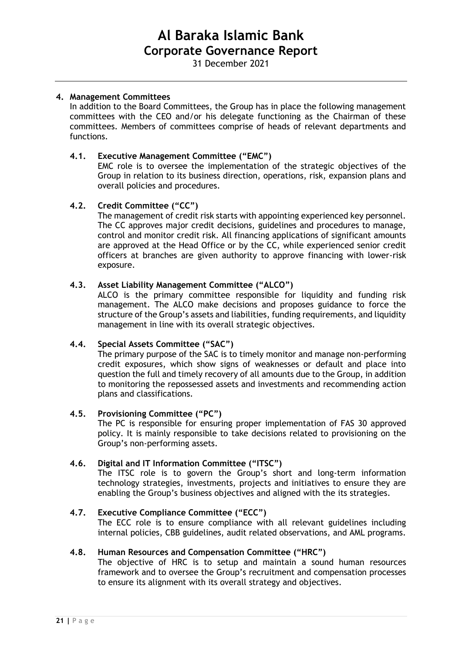31 December 2021

### **4. Management Committees**

In addition to the Board Committees, the Group has in place the following management committees with the CEO and/or his delegate functioning as the Chairman of these committees. Members of committees comprise of heads of relevant departments and functions.

### **4.1. Executive Management Committee ("EMC")**

EMC role is to oversee the implementation of the strategic objectives of the Group in relation to its business direction, operations, risk, expansion plans and overall policies and procedures.

## **4.2. Credit Committee ("CC")**

The management of credit risk starts with appointing experienced key personnel. The CC approves major credit decisions, guidelines and procedures to manage, control and monitor credit risk. All financing applications of significant amounts are approved at the Head Office or by the CC, while experienced senior credit officers at branches are given authority to approve financing with lower-risk exposure.

## **4.3. Asset Liability Management Committee ("ALCO")**

ALCO is the primary committee responsible for liquidity and funding risk management. The ALCO make decisions and proposes guidance to force the structure of the Group's assets and liabilities, funding requirements, and liquidity management in line with its overall strategic objectives.

## **4.4. Special Assets Committee ("SAC")**

The primary purpose of the SAC is to timely monitor and manage non-performing credit exposures, which show signs of weaknesses or default and place into question the full and timely recovery of all amounts due to the Group, in addition to monitoring the repossessed assets and investments and recommending action plans and classifications.

#### **4.5. Provisioning Committee ("PC")**

The PC is responsible for ensuring proper implementation of FAS 30 approved policy. It is mainly responsible to take decisions related to provisioning on the Group's non-performing assets.

# **4.6. Digital and IT Information Committee ("ITSC")**

The ITSC role is to govern the Group's short and long-term information technology strategies, investments, projects and initiatives to ensure they are enabling the Group's business objectives and aligned with the its strategies.

# **4.7. Executive Compliance Committee ("ECC")**

The ECC role is to ensure compliance with all relevant guidelines including internal policies, CBB guidelines, audit related observations, and AML programs.

#### **4.8. Human Resources and Compensation Committee ("HRC")**

The objective of HRC is to setup and maintain a sound human resources framework and to oversee the Group's recruitment and compensation processes to ensure its alignment with its overall strategy and objectives.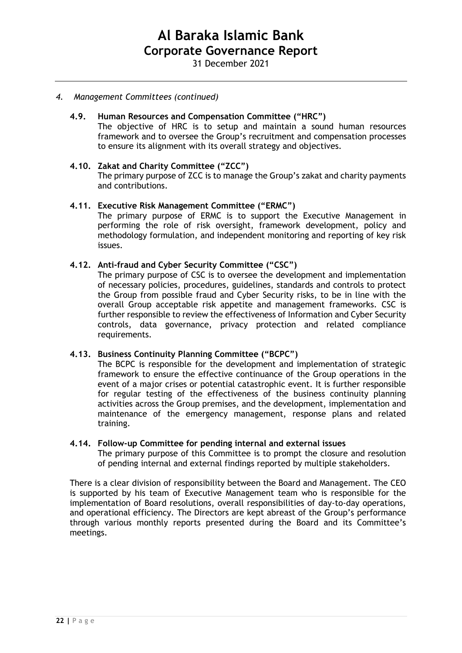### *4. Management Committees (continued)*

## **4.9. Human Resources and Compensation Committee ("HRC")**

The objective of HRC is to setup and maintain a sound human resources framework and to oversee the Group's recruitment and compensation processes to ensure its alignment with its overall strategy and objectives.

### **4.10. Zakat and Charity Committee ("ZCC")**

The primary purpose of ZCC is to manage the Group's zakat and charity payments and contributions.

#### **4.11. Executive Risk Management Committee ("ERMC")**

The primary purpose of ERMC is to support the Executive Management in performing the role of risk oversight, framework development, policy and methodology formulation, and independent monitoring and reporting of key risk issues.

### **4.12. Anti-fraud and Cyber Security Committee ("CSC")**

The primary purpose of CSC is to oversee the development and implementation of necessary policies, procedures, guidelines, standards and controls to protect the Group from possible fraud and Cyber Security risks, to be in line with the overall Group acceptable risk appetite and management frameworks. CSC is further responsible to review the effectiveness of Information and Cyber Security controls, data governance, privacy protection and related compliance requirements.

## **4.13. Business Continuity Planning Committee ("BCPC")**

The BCPC is responsible for the development and implementation of strategic framework to ensure the effective continuance of the Group operations in the event of a major crises or potential catastrophic event. It is further responsible for regular testing of the effectiveness of the business continuity planning activities across the Group premises, and the development, implementation and maintenance of the emergency management, response plans and related training.

#### **4.14. Follow-up Committee for pending internal and external issues**

The primary purpose of this Committee is to prompt the closure and resolution of pending internal and external findings reported by multiple stakeholders.

There is a clear division of responsibility between the Board and Management. The CEO is supported by his team of Executive Management team who is responsible for the implementation of Board resolutions, overall responsibilities of day-to-day operations, and operational efficiency. The Directors are kept abreast of the Group's performance through various monthly reports presented during the Board and its Committee's meetings.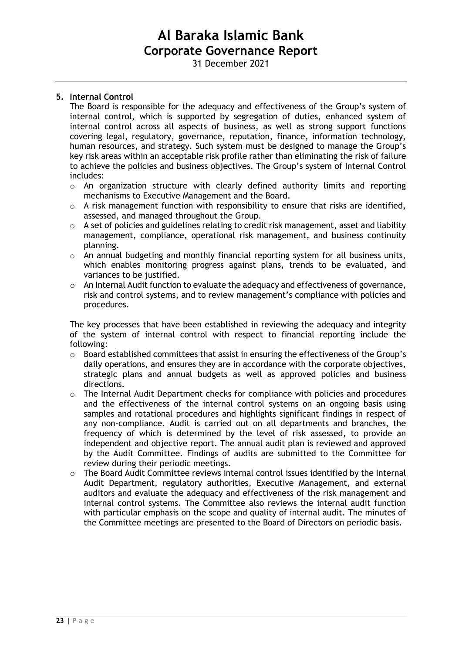31 December 2021

## **5. Internal Control**

The Board is responsible for the adequacy and effectiveness of the Group's system of internal control, which is supported by segregation of duties, enhanced system of internal control across all aspects of business, as well as strong support functions covering legal, regulatory, governance, reputation, finance, information technology, human resources, and strategy. Such system must be designed to manage the Group's key risk areas within an acceptable risk profile rather than eliminating the risk of failure to achieve the policies and business objectives. The Group's system of Internal Control includes:

- o An organization structure with clearly defined authority limits and reporting mechanisms to Executive Management and the Board.
- $\circ$  A risk management function with responsibility to ensure that risks are identified, assessed, and managed throughout the Group.
- o A set of policies and guidelines relating to credit risk management, asset and liability management, compliance, operational risk management, and business continuity planning.
- o An annual budgeting and monthly financial reporting system for all business units, which enables monitoring progress against plans, trends to be evaluated, and variances to be justified.
- $\circ$  An Internal Audit function to evaluate the adequacy and effectiveness of governance, risk and control systems, and to review management's compliance with policies and procedures.

The key processes that have been established in reviewing the adequacy and integrity of the system of internal control with respect to financial reporting include the following:

- $\circ$  Board established committees that assist in ensuring the effectiveness of the Group's daily operations, and ensures they are in accordance with the corporate objectives, strategic plans and annual budgets as well as approved policies and business directions.
- o The Internal Audit Department checks for compliance with policies and procedures and the effectiveness of the internal control systems on an ongoing basis using samples and rotational procedures and highlights significant findings in respect of any non-compliance. Audit is carried out on all departments and branches, the frequency of which is determined by the level of risk assessed, to provide an independent and objective report. The annual audit plan is reviewed and approved by the Audit Committee. Findings of audits are submitted to the Committee for review during their periodic meetings.
- $\circ$  The Board Audit Committee reviews internal control issues identified by the Internal Audit Department, regulatory authorities, Executive Management, and external auditors and evaluate the adequacy and effectiveness of the risk management and internal control systems. The Committee also reviews the internal audit function with particular emphasis on the scope and quality of internal audit. The minutes of the Committee meetings are presented to the Board of Directors on periodic basis.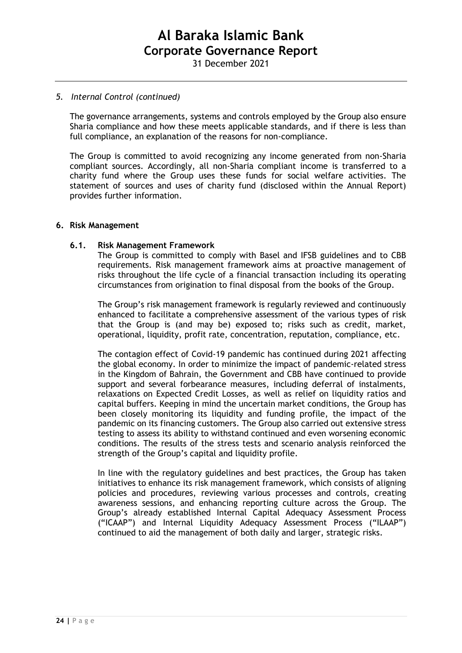### *5. Internal Control (continued)*

The governance arrangements, systems and controls employed by the Group also ensure Sharia compliance and how these meets applicable standards, and if there is less than full compliance, an explanation of the reasons for non-compliance.

The Group is committed to avoid recognizing any income generated from non-Sharia compliant sources. Accordingly, all non-Sharia compliant income is transferred to a charity fund where the Group uses these funds for social welfare activities. The statement of sources and uses of charity fund (disclosed within the Annual Report) provides further information.

#### **6. Risk Management**

### **6.1. Risk Management Framework**

The Group is committed to comply with Basel and IFSB guidelines and to CBB requirements. Risk management framework aims at proactive management of risks throughout the life cycle of a financial transaction including its operating circumstances from origination to final disposal from the books of the Group.

The Group's risk management framework is regularly reviewed and continuously enhanced to facilitate a comprehensive assessment of the various types of risk that the Group is (and may be) exposed to; risks such as credit, market, operational, liquidity, profit rate, concentration, reputation, compliance, etc.

The contagion effect of Covid-19 pandemic has continued during 2021 affecting the global economy. In order to minimize the impact of pandemic-related stress in the Kingdom of Bahrain, the Government and CBB have continued to provide support and several forbearance measures, including deferral of instalments, relaxations on Expected Credit Losses, as well as relief on liquidity ratios and capital buffers. Keeping in mind the uncertain market conditions, the Group has been closely monitoring its liquidity and funding profile, the impact of the pandemic on its financing customers. The Group also carried out extensive stress testing to assess its ability to withstand continued and even worsening economic conditions. The results of the stress tests and scenario analysis reinforced the strength of the Group's capital and liquidity profile.

In line with the regulatory guidelines and best practices, the Group has taken initiatives to enhance its risk management framework, which consists of aligning policies and procedures, reviewing various processes and controls, creating awareness sessions, and enhancing reporting culture across the Group. The Group's already established Internal Capital Adequacy Assessment Process ("ICAAP") and Internal Liquidity Adequacy Assessment Process ("ILAAP") continued to aid the management of both daily and larger, strategic risks.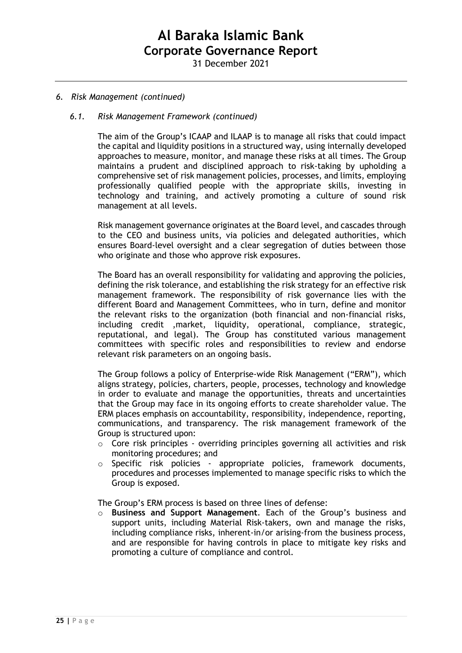31 December 2021

### *6. Risk Management (continued)*

#### *6.1. Risk Management Framework (continued)*

The aim of the Group's ICAAP and ILAAP is to manage all risks that could impact the capital and liquidity positions in a structured way, using internally developed approaches to measure, monitor, and manage these risks at all times. The Group maintains a prudent and disciplined approach to risk-taking by upholding a comprehensive set of risk management policies, processes, and limits, employing professionally qualified people with the appropriate skills, investing in technology and training, and actively promoting a culture of sound risk management at all levels.

Risk management governance originates at the Board level, and cascades through to the CEO and business units, via policies and delegated authorities, which ensures Board-level oversight and a clear segregation of duties between those who originate and those who approve risk exposures.

The Board has an overall responsibility for validating and approving the policies, defining the risk tolerance, and establishing the risk strategy for an effective risk management framework. The responsibility of risk governance lies with the different Board and Management Committees, who in turn, define and monitor the relevant risks to the organization (both financial and non-financial risks, including credit ,market, liquidity, operational, compliance, strategic, reputational, and legal). The Group has constituted various management committees with specific roles and responsibilities to review and endorse relevant risk parameters on an ongoing basis.

The Group follows a policy of Enterprise-wide Risk Management ("ERM"), which aligns strategy, policies, charters, people, processes, technology and knowledge in order to evaluate and manage the opportunities, threats and uncertainties that the Group may face in its ongoing efforts to create shareholder value. The ERM places emphasis on accountability, responsibility, independence, reporting, communications, and transparency. The risk management framework of the Group is structured upon:

- o Core risk principles overriding principles governing all activities and risk monitoring procedures; and
- $\circ$  Specific risk policies appropriate policies, framework documents, procedures and processes implemented to manage specific risks to which the Group is exposed.

The Group's ERM process is based on three lines of defense:

Business and Support Management. Each of the Group's business and support units, including Material Risk-takers, own and manage the risks, including compliance risks, inherent-in/or arising-from the business process, and are responsible for having controls in place to mitigate key risks and promoting a culture of compliance and control.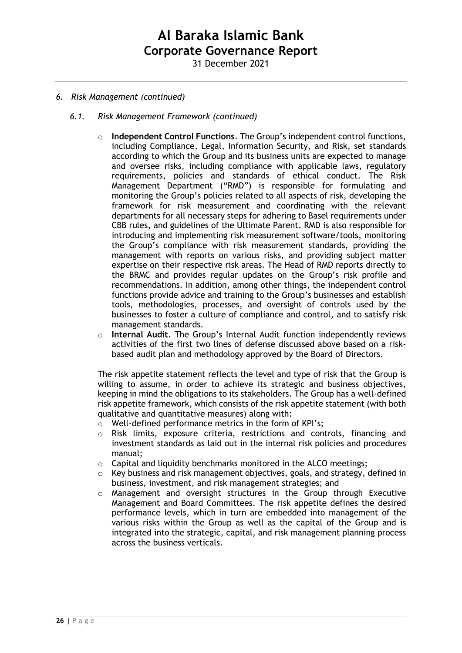31 December 2021

## *6. Risk Management (continued)*

- *6.1. Risk Management Framework (continued)*
	- o **Independent Control Functions**. The Group's independent control functions, including Compliance, Legal, Information Security, and Risk, set standards according to which the Group and its business units are expected to manage and oversee risks, including compliance with applicable laws, regulatory requirements, policies and standards of ethical conduct. The Risk Management Department ("RMD") is responsible for formulating and monitoring the Group's policies related to all aspects of risk, developing the framework for risk measurement and coordinating with the relevant departments for all necessary steps for adhering to Basel requirements under CBB rules, and guidelines of the Ultimate Parent. RMD is also responsible for introducing and implementing risk measurement software/tools, monitoring the Group's compliance with risk measurement standards, providing the management with reports on various risks, and providing subject matter expertise on their respective risk areas. The Head of RMD reports directly to the BRMC and provides regular updates on the Group's risk profile and recommendations. In addition, among other things, the independent control functions provide advice and training to the Group's businesses and establish tools, methodologies, processes, and oversight of controls used by the businesses to foster a culture of compliance and control, and to satisfy risk management standards.
	- Internal Audit. The Group's Internal Audit function independently reviews activities of the first two lines of defense discussed above based on a riskbased audit plan and methodology approved by the Board of Directors.

The risk appetite statement reflects the level and type of risk that the Group is willing to assume, in order to achieve its strategic and business objectives, keeping in mind the obligations to its stakeholders. The Group has a well-defined risk appetite framework, which consists of the risk appetite statement (with both qualitative and quantitative measures) along with:

- o Well-defined performance metrics in the form of KPI's;
- o Risk limits, exposure criteria, restrictions and controls, financing and investment standards as laid out in the internal risk policies and procedures manual;
- $\circ$  Capital and liquidity benchmarks monitored in the ALCO meetings:
- $\circ$  Key business and risk management objectives, goals, and strategy, defined in business, investment, and risk management strategies; and
- o Management and oversight structures in the Group through Executive Management and Board Committees. The risk appetite defines the desired performance levels, which in turn are embedded into management of the various risks within the Group as well as the capital of the Group and is integrated into the strategic, capital, and risk management planning process across the business verticals.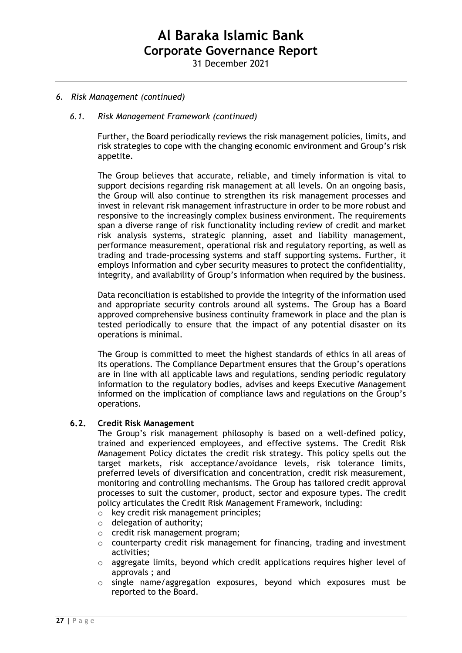31 December 2021

### *6. Risk Management (continued)*

#### *6.1. Risk Management Framework (continued)*

Further, the Board periodically reviews the risk management policies, limits, and risk strategies to cope with the changing economic environment and Group's risk appetite.

The Group believes that accurate, reliable, and timely information is vital to support decisions regarding risk management at all levels. On an ongoing basis, the Group will also continue to strengthen its risk management processes and invest in relevant risk management infrastructure in order to be more robust and responsive to the increasingly complex business environment. The requirements span a diverse range of risk functionality including review of credit and market risk analysis systems, strategic planning, asset and liability management, performance measurement, operational risk and regulatory reporting, as well as trading and trade-processing systems and staff supporting systems. Further, it employs Information and cyber security measures to protect the confidentiality, integrity, and availability of Group's information when required by the business.

Data reconciliation is established to provide the integrity of the information used and appropriate security controls around all systems. The Group has a Board approved comprehensive business continuity framework in place and the plan is tested periodically to ensure that the impact of any potential disaster on its operations is minimal.

The Group is committed to meet the highest standards of ethics in all areas of its operations. The Compliance Department ensures that the Group's operations are in line with all applicable laws and regulations, sending periodic regulatory information to the regulatory bodies, advises and keeps Executive Management informed on the implication of compliance laws and regulations on the Group's operations.

#### **6.2. Credit Risk Management**

The Group's risk management philosophy is based on a well-defined policy, trained and experienced employees, and effective systems. The Credit Risk Management Policy dictates the credit risk strategy. This policy spells out the target markets, risk acceptance/avoidance levels, risk tolerance limits, preferred levels of diversification and concentration, credit risk measurement, monitoring and controlling mechanisms. The Group has tailored credit approval processes to suit the customer, product, sector and exposure types. The credit policy articulates the Credit Risk Management Framework, including:

- o key credit risk management principles;
- o delegation of authority;
- o credit risk management program;
- $\circ$  counterparty credit risk management for financing, trading and investment activities;
- o aggregate limits, beyond which credit applications requires higher level of approvals ; and
- o single name/aggregation exposures, beyond which exposures must be reported to the Board.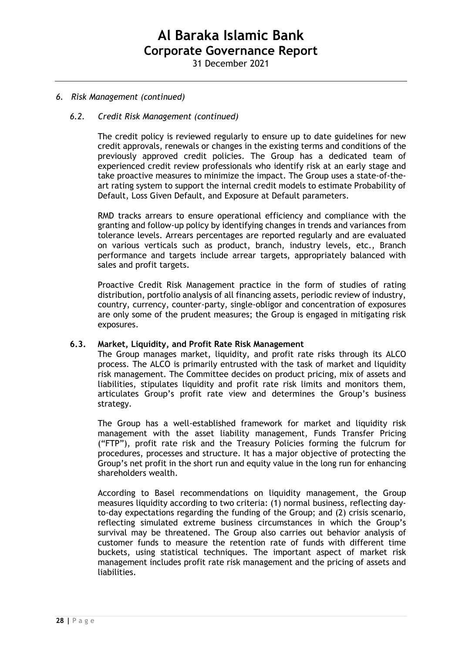31 December 2021

### *6. Risk Management (continued)*

### *6.2. Credit Risk Management (continued)*

The credit policy is reviewed regularly to ensure up to date guidelines for new credit approvals, renewals or changes in the existing terms and conditions of the previously approved credit policies. The Group has a dedicated team of experienced credit review professionals who identify risk at an early stage and take proactive measures to minimize the impact. The Group uses a state-of-theart rating system to support the internal credit models to estimate Probability of Default, Loss Given Default, and Exposure at Default parameters.

RMD tracks arrears to ensure operational efficiency and compliance with the granting and follow-up policy by identifying changes in trends and variances from tolerance levels. Arrears percentages are reported regularly and are evaluated on various verticals such as product, branch, industry levels, etc., Branch performance and targets include arrear targets, appropriately balanced with sales and profit targets.

Proactive Credit Risk Management practice in the form of studies of rating distribution, portfolio analysis of all financing assets, periodic review of industry, country, currency, counter-party, single-obligor and concentration of exposures are only some of the prudent measures; the Group is engaged in mitigating risk exposures.

#### **6.3. Market, Liquidity, and Profit Rate Risk Management**

The Group manages market, liquidity, and profit rate risks through its ALCO process. The ALCO is primarily entrusted with the task of market and liquidity risk management. The Committee decides on product pricing, mix of assets and liabilities, stipulates liquidity and profit rate risk limits and monitors them, articulates Group's profit rate view and determines the Group's business strategy.

The Group has a well-established framework for market and liquidity risk management with the asset liability management, Funds Transfer Pricing ("FTP"), profit rate risk and the Treasury Policies forming the fulcrum for procedures, processes and structure. It has a major objective of protecting the Group's net profit in the short run and equity value in the long run for enhancing shareholders wealth.

According to Basel recommendations on liquidity management, the Group measures liquidity according to two criteria: (1) normal business, reflecting dayto-day expectations regarding the funding of the Group; and (2) crisis scenario, reflecting simulated extreme business circumstances in which the Group's survival may be threatened. The Group also carries out behavior analysis of customer funds to measure the retention rate of funds with different time buckets, using statistical techniques. The important aspect of market risk management includes profit rate risk management and the pricing of assets and liabilities.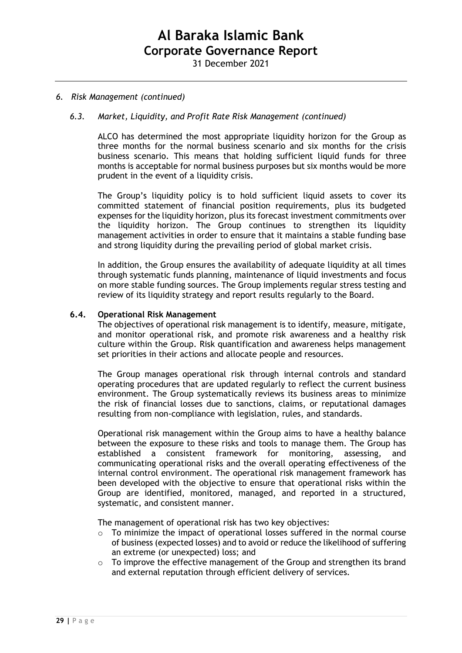#### *6. Risk Management (continued)*

### *6.3. Market, Liquidity, and Profit Rate Risk Management (continued)*

ALCO has determined the most appropriate liquidity horizon for the Group as three months for the normal business scenario and six months for the crisis business scenario. This means that holding sufficient liquid funds for three months is acceptable for normal business purposes but six months would be more prudent in the event of a liquidity crisis.

The Group's liquidity policy is to hold sufficient liquid assets to cover its committed statement of financial position requirements, plus its budgeted expenses for the liquidity horizon, plus its forecast investment commitments over the liquidity horizon. The Group continues to strengthen its liquidity management activities in order to ensure that it maintains a stable funding base and strong liquidity during the prevailing period of global market crisis.

In addition, the Group ensures the availability of adequate liquidity at all times through systematic funds planning, maintenance of liquid investments and focus on more stable funding sources. The Group implements regular stress testing and review of its liquidity strategy and report results regularly to the Board.

#### **6.4. Operational Risk Management**

The objectives of operational risk management is to identify, measure, mitigate, and monitor operational risk, and promote risk awareness and a healthy risk culture within the Group. Risk quantification and awareness helps management set priorities in their actions and allocate people and resources.

The Group manages operational risk through internal controls and standard operating procedures that are updated regularly to reflect the current business environment. The Group systematically reviews its business areas to minimize the risk of financial losses due to sanctions, claims, or reputational damages resulting from non-compliance with legislation, rules, and standards.

Operational risk management within the Group aims to have a healthy balance between the exposure to these risks and tools to manage them. The Group has established a consistent framework for monitoring, assessing, and communicating operational risks and the overall operating effectiveness of the internal control environment. The operational risk management framework has been developed with the objective to ensure that operational risks within the Group are identified, monitored, managed, and reported in a structured, systematic, and consistent manner.

The management of operational risk has two key objectives:

- o To minimize the impact of operational losses suffered in the normal course of business [\(expected losses\)](http://reports.barclays.com/ar12/riskmanagement/operationalriskmanagement.html) and to avoid or reduce the likelihood of suffering an extreme (or unexpected) loss; and
- o To improve the effective management of the Group and strengthen its brand and external reputation through efficient delivery of services.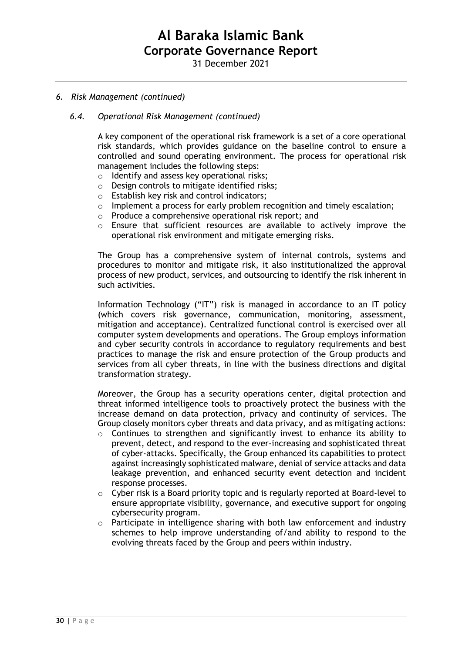31 December 2021

#### *6. Risk Management (continued)*

#### *6.4. Operational Risk Management (continued)*

A key component of the operational risk framework is a set of a core operational risk standards, which provides guidance on the baseline control to ensure a controlled and sound operating environment. The process for operational risk management includes the following steps:

- o Identify and assess key operational risks;
- o Design controls to mitigate identified risks;
- o Establish key risk and control indicators;
- o Implement a process for early problem recognition and timely escalation;
- o Produce a comprehensive operational risk report; and
- o Ensure that sufficient resources are available to actively improve the operational risk environment and mitigate emerging risks.

The Group has a comprehensive system of internal controls, systems and procedures to monitor and mitigate risk, it also institutionalized the approval process of new product, services, and outsourcing to identify the risk inherent in such activities.

Information Technology ("IT") risk is managed in accordance to an IT policy (which covers risk governance, communication, monitoring, assessment, mitigation and acceptance). Centralized functional control is exercised over all computer system developments and operations. The Group employs information and cyber security controls in accordance to regulatory requirements and best practices to manage the risk and ensure protection of the Group products and services from all cyber threats, in line with the business directions and digital transformation strategy.

Moreover, the Group has a security operations center, digital protection and threat informed intelligence tools to proactively protect the business with the increase demand on data protection, privacy and continuity of services. The Group closely monitors cyber threats and data privacy, and as mitigating actions:

- o Continues to strengthen and significantly invest to enhance its ability to prevent, detect, and respond to the ever-increasing and sophisticated threat of cyber-attacks. Specifically, the Group enhanced its capabilities to protect against increasingly sophisticated malware, denial of service attacks and data leakage prevention, and enhanced security event detection and incident response processes.
- $\circ$  Cyber risk is a Board priority topic and is regularly reported at Board-level to ensure appropriate visibility, governance, and executive support for ongoing cybersecurity program.
- o Participate in intelligence sharing with both law enforcement and industry schemes to help improve understanding of/and ability to respond to the evolving threats faced by the Group and peers within industry.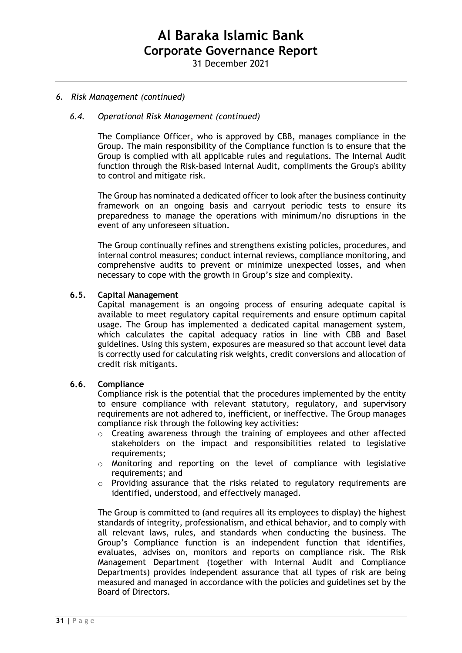#### *6. Risk Management (continued)*

## *6.4. Operational Risk Management (continued)*

The Compliance Officer, who is approved by CBB, manages compliance in the Group. The main responsibility of the Compliance function is to ensure that the Group is complied with all applicable rules and regulations. The Internal Audit function through the Risk-based Internal Audit, compliments the Group's ability to control and mitigate risk.

The Group has nominated a dedicated officer to look after the business continuity framework on an ongoing basis and carryout periodic tests to ensure its preparedness to manage the operations with minimum/no disruptions in the event of any unforeseen situation.

The Group continually refines and strengthens existing policies, procedures, and internal control measures; conduct internal reviews, compliance monitoring, and comprehensive audits to prevent or minimize unexpected losses, and when necessary to cope with the growth in Group's size and complexity.

### **6.5. Capital Management**

Capital management is an ongoing process of ensuring adequate capital is available to meet regulatory capital requirements and ensure optimum capital usage. The Group has implemented a dedicated capital management system, which calculates the capital adequacy ratios in line with CBB and Basel guidelines. Using this system, exposures are measured so that account level data is correctly used for calculating risk weights, credit conversions and allocation of credit risk mitigants.

#### **6.6. Compliance**

Compliance risk is the potential that the procedures implemented by the entity to ensure compliance with relevant statutory, regulatory, and supervisory requirements are not adhered to, inefficient, or ineffective. The Group manages compliance risk through the following key activities:

- $\circ$  Creating awareness through the training of employees and other affected stakeholders on the impact and responsibilities related to legislative requirements;
- o Monitoring and reporting on the level of compliance with legislative requirements; and
- $\circ$  Providing assurance that the risks related to regulatory requirements are identified, understood, and effectively managed.

The Group is committed to (and requires all its employees to display) the highest standards of integrity, professionalism, and ethical behavior, and to comply with all relevant laws, rules, and standards when conducting the business. The Group's Compliance function is an independent function that identifies, evaluates, advises on, monitors and reports on compliance risk. The Risk Management Department (together with Internal Audit and Compliance Departments) provides independent assurance that all types of risk are being measured and managed in accordance with the policies and guidelines set by the Board of Directors.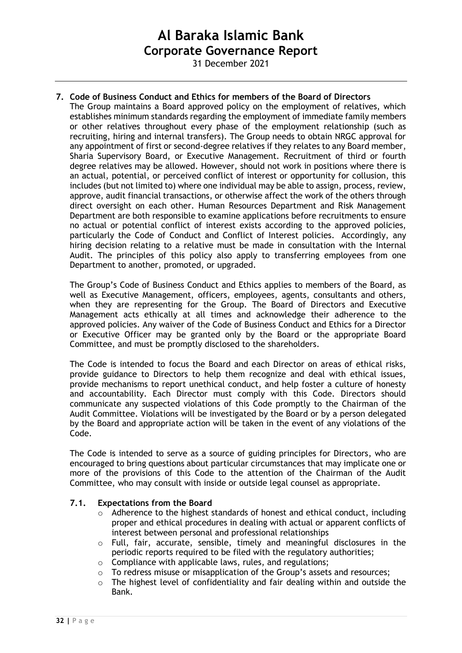31 December 2021

# **7. Code of Business Conduct and Ethics for members of the Board of Directors**

The Group maintains a Board approved policy on the employment of relatives, which establishes minimum standards regarding the employment of immediate family members or other relatives throughout every phase of the employment relationship (such as recruiting, hiring and internal transfers). The Group needs to obtain NRGC approval for any appointment of first or second-degree relatives if they relates to any Board member, Sharia Supervisory Board, or Executive Management. Recruitment of third or fourth degree relatives may be allowed. However, should not work in positions where there is an actual, potential, or perceived conflict of interest or opportunity for collusion, this includes (but not limited to) where one individual may be able to assign, process, review, approve, audit financial transactions, or otherwise affect the work of the others through direct oversight on each other. Human Resources Department and Risk Management Department are both responsible to examine applications before recruitments to ensure no actual or potential conflict of interest exists according to the approved policies, particularly the Code of Conduct and Conflict of Interest policies. Accordingly, any hiring decision relating to a relative must be made in consultation with the Internal Audit. The principles of this policy also apply to transferring employees from one Department to another, promoted, or upgraded.

The Group's Code of Business Conduct and Ethics applies to members of the Board, as well as Executive Management, officers, employees, agents, consultants and others, when they are representing for the Group. The Board of Directors and Executive Management acts ethically at all times and acknowledge their adherence to the approved policies. Any waiver of the Code of Business Conduct and Ethics for a Director or Executive Officer may be granted only by the Board or the appropriate Board Committee, and must be promptly disclosed to the shareholders.

The Code is intended to focus the Board and each Director on areas of ethical risks, provide guidance to Directors to help them recognize and deal with ethical issues, provide mechanisms to report unethical conduct, and help foster a culture of honesty and accountability. Each Director must comply with this Code. Directors should communicate any suspected violations of this Code promptly to the Chairman of the Audit Committee. Violations will be investigated by the Board or by a person delegated by the Board and appropriate action will be taken in the event of any violations of the Code.

The Code is intended to serve as a source of guiding principles for Directors, who are encouraged to bring questions about particular circumstances that may implicate one or more of the provisions of this Code to the attention of the Chairman of the Audit Committee, who may consult with inside or outside legal counsel as appropriate.

## **7.1. Expectations from the Board**

- o Adherence to the highest standards of honest and ethical conduct, including proper and ethical procedures in dealing with actual or apparent conflicts of interest between personal and professional relationships
- $\circ$  Full, fair, accurate, sensible, timely and meaningful disclosures in the periodic reports required to be filed with the regulatory authorities;
- o Compliance with applicable laws, rules, and regulations;
- To redress misuse or misapplication of the Group's assets and resources;
- o The highest level of confidentiality and fair dealing within and outside the Bank.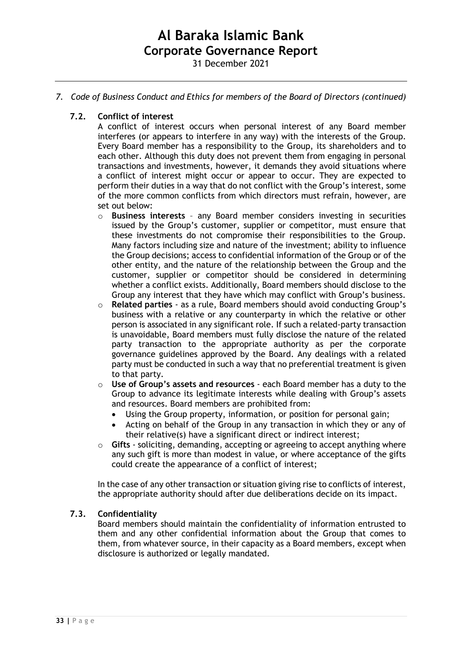31 December 2021

## *7. Code of Business Conduct and Ethics for members of the Board of Directors (continued)*

## **7.2. Conflict of interest**

A conflict of interest occurs when personal interest of any Board member interferes (or appears to interfere in any way) with the interests of the Group. Every Board member has a responsibility to the Group, its shareholders and to each other. Although this duty does not prevent them from engaging in personal transactions and investments, however, it demands they avoid situations where a conflict of interest might occur or appear to occur. They are expected to perform their duties in a way that do not conflict with the Group's interest, some of the more common conflicts from which directors must refrain, however, are set out below:

- o **Business interests** any Board member considers investing in securities issued by the Group's customer, supplier or competitor, must ensure that these investments do not compromise their responsibilities to the Group. Many factors including size and nature of the investment; ability to influence the Group decisions; access to confidential information of the Group or of the other entity, and the nature of the relationship between the Group and the customer, supplier or competitor should be considered in determining whether a conflict exists. Additionally, Board members should disclose to the Group any interest that they have which may conflict with Group's business.
- o **Related parties** as a rule, Board members should avoid conducting Group's business with a relative or any counterparty in which the relative or other person is associated in any significant role. If such a related-party transaction is unavoidable, Board members must fully disclose the nature of the related party transaction to the appropriate authority as per the corporate governance guidelines approved by the Board. Any dealings with a related party must be conducted in such a way that no preferential treatment is given to that party.
- o **Use of Group's assets and resources**  each Board member has a duty to the Group to advance its legitimate interests while dealing with Group's assets and resources. Board members are prohibited from:
	- Using the Group property, information, or position for personal gain;
	- Acting on behalf of the Group in any transaction in which they or any of their relative(s) have a significant direct or indirect interest;
- o **Gifts** soliciting, demanding, accepting or agreeing to accept anything where any such gift is more than modest in value, or where acceptance of the gifts could create the appearance of a conflict of interest;

In the case of any other transaction or situation giving rise to conflicts of interest, the appropriate authority should after due deliberations decide on its impact.

## **7.3. Confidentiality**

Board members should maintain the confidentiality of information entrusted to them and any other confidential information about the Group that comes to them, from whatever source, in their capacity as a Board members, except when disclosure is authorized or legally mandated.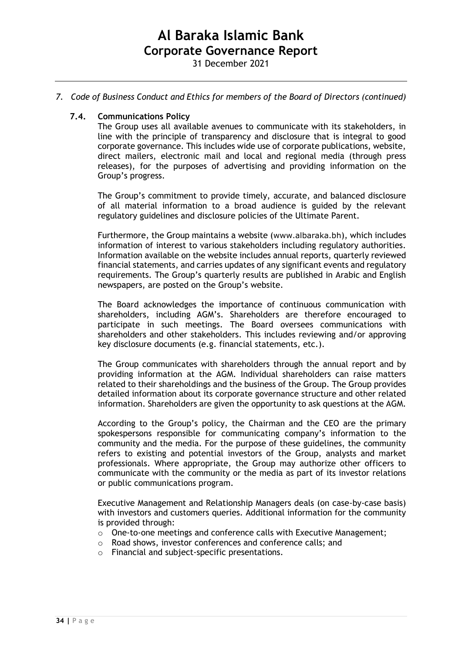### *7. Code of Business Conduct and Ethics for members of the Board of Directors (continued)*

#### **7.4. Communications Policy**

The Group uses all available avenues to communicate with its stakeholders, in line with the principle of transparency and disclosure that is integral to good corporate governance. This includes wide use of corporate publications, website, direct mailers, electronic mail and local and regional media (through press releases), for the purposes of advertising and providing information on the Group's progress.

The Group's commitment to provide timely, accurate, and balanced disclosure of all material information to a broad audience is guided by the relevant regulatory guidelines and disclosure policies of the Ultimate Parent.

Furthermore, the Group maintains a website ([www.albaraka.bh](http://www.albaraka.bh/)), which includes information of interest to various stakeholders including regulatory authorities. Information available on the website includes annual reports, quarterly reviewed financial statements, and carries updates of any significant events and regulatory requirements. The Group's quarterly results are published in Arabic and English newspapers, are posted on the Group's website.

The Board acknowledges the importance of continuous communication with shareholders, including AGM's. Shareholders are therefore encouraged to participate in such meetings. The Board oversees communications with shareholders and other stakeholders. This includes reviewing and/or approving key disclosure documents (e.g. financial statements, etc.).

The Group communicates with shareholders through the annual report and by providing information at the AGM. Individual shareholders can raise matters related to their shareholdings and the business of the Group. The Group provides detailed information about its corporate governance structure and other related information. Shareholders are given the opportunity to ask questions at the AGM.

According to the Group's policy, the Chairman and the CEO are the primary spokespersons responsible for communicating company's information to the community and the media. For the purpose of these guidelines, the community refers to existing and potential investors of the Group, analysts and market professionals. Where appropriate, the Group may authorize other officers to communicate with the community or the media as part of its investor relations or public communications program.

Executive Management and Relationship Managers deals (on case-by-case basis) with investors and customers queries. Additional information for the community is provided through:

- o One-to-one meetings and conference calls with Executive Management;
- o Road shows, investor conferences and conference calls; and
- o Financial and subject-specific presentations.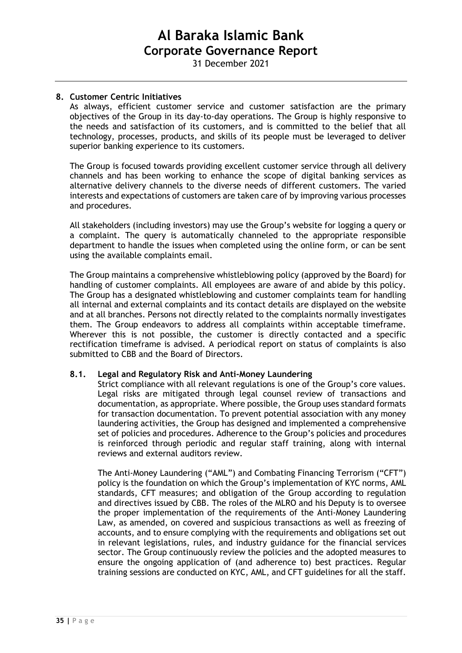31 December 2021

### **8. Customer Centric Initiatives**

As always, efficient customer service and customer satisfaction are the primary objectives of the Group in its day-to-day operations. The Group is highly responsive to the needs and satisfaction of its customers, and is committed to the belief that all technology, processes, products, and skills of its people must be leveraged to deliver superior banking experience to its customers.

The Group is focused towards providing excellent customer service through all delivery channels and has been working to enhance the scope of digital banking services as alternative delivery channels to the diverse needs of different customers. The varied interests and expectations of customers are taken care of by improving various processes and procedures.

All stakeholders (including investors) may use the Group's website for logging a query or a complaint. The query is automatically channeled to the appropriate responsible department to handle the issues when completed using the online form, or can be sent using the available complaints email.

The Group maintains a comprehensive whistleblowing policy (approved by the Board) for handling of customer complaints. All employees are aware of and abide by this policy. The Group has a designated whistleblowing and customer complaints team for handling all internal and external complaints and its contact details are displayed on the website and at all branches. Persons not directly related to the complaints normally investigates them. The Group endeavors to address all complaints within acceptable timeframe. Wherever this is not possible, the customer is directly contacted and a specific rectification timeframe is advised. A periodical report on status of complaints is also submitted to CBB and the Board of Directors.

#### **8.1. Legal and Regulatory Risk and Anti-Money Laundering**

Strict compliance with all relevant regulations is one of the Group's core values. Legal risks are mitigated through legal counsel review of transactions and documentation, as appropriate. Where possible, the Group uses standard formats for transaction documentation. To prevent potential association with any money laundering activities, the Group has designed and implemented a comprehensive set of policies and procedures. Adherence to the Group's policies and procedures is reinforced through periodic and regular staff training, along with internal reviews and external auditors review.

The Anti-Money Laundering ("AML") and Combating Financing Terrorism ("CFT") policy is the foundation on which the Group's implementation of KYC norms, AML standards, CFT measures; and obligation of the Group according to regulation and directives issued by CBB. The roles of the MLRO and his Deputy is to oversee the proper implementation of the requirements of the Anti-Money Laundering Law, as amended, on covered and suspicious transactions as well as freezing of accounts, and to ensure complying with the requirements and obligations set out in relevant legislations, rules, and industry guidance for the financial services sector. The Group continuously review the policies and the adopted measures to ensure the ongoing application of (and adherence to) best practices. Regular training sessions are conducted on KYC, AML, and CFT guidelines for all the staff.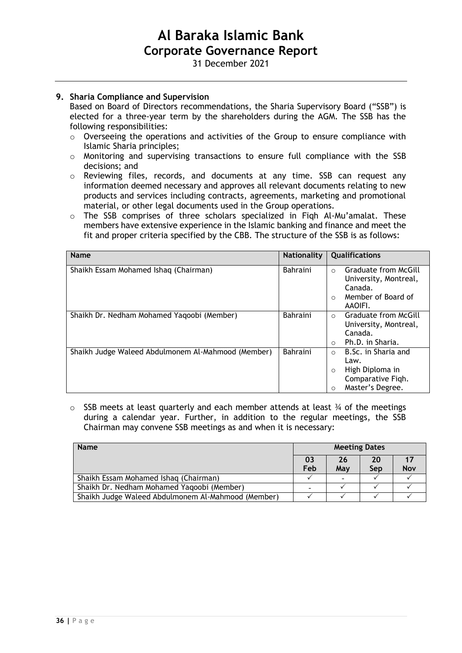31 December 2021

## **9. Sharia Compliance and Supervision**

Based on Board of Directors recommendations, the Sharia Supervisory Board ("SSB") is elected for a three-year term by the shareholders during the AGM. The SSB has the following responsibilities:

- o Overseeing the operations and activities of the Group to ensure compliance with Islamic Sharia principles;
- o Monitoring and supervising transactions to ensure full compliance with the SSB decisions; and
- o Reviewing files, records, and documents at any time. SSB can request any information deemed necessary and approves all relevant documents relating to new products and services including contracts, agreements, marketing and promotional material, or other legal documents used in the Group operations.
- o The SSB comprises of three scholars specialized in Fiqh Al-Mu'amalat. These members have extensive experience in the Islamic banking and finance and meet the fit and proper criteria specified by the CBB. The structure of the SSB is as follows:

| <b>Name</b>                                        | <b>Nationality</b> | <b>Qualifications</b>                   |
|----------------------------------------------------|--------------------|-----------------------------------------|
| Shaikh Essam Mohamed Ishaq (Chairman)              | <b>Bahraini</b>    | Graduate from McGill<br>$\bigcirc$      |
|                                                    |                    | University, Montreal,                   |
|                                                    |                    | Canada.                                 |
|                                                    |                    | Member of Board of<br>$\bigcirc$        |
|                                                    |                    | AAOIFI.                                 |
| Shaikh Dr. Nedham Mohamed Yaqoobi (Member)         | Bahraini           | <b>Graduate from McGill</b><br>$\Omega$ |
|                                                    |                    | University, Montreal,                   |
|                                                    |                    | Canada.                                 |
|                                                    |                    | Ph.D. in Sharia.<br>$\bigcirc$          |
| Shaikh Judge Waleed Abdulmonem Al-Mahmood (Member) | <b>Bahraini</b>    | B.Sc. in Sharia and<br>$\circ$          |
|                                                    |                    | Law.                                    |
|                                                    |                    | High Diploma in<br>$\circ$              |
|                                                    |                    | Comparative Figh.                       |
|                                                    |                    | Master's Degree.<br>O                   |

 $\circ$  SSB meets at least quarterly and each member attends at least  $\frac{3}{4}$  of the meetings during a calendar year. Further, in addition to the regular meetings, the SSB Chairman may convene SSB meetings as and when it is necessary:

| <b>Name</b>                                        | <b>Meeting Dates</b> |     |     |            |
|----------------------------------------------------|----------------------|-----|-----|------------|
|                                                    | 03                   | 26  | 20  |            |
|                                                    | Feb                  | May | Sep | <b>Nov</b> |
| Shaikh Essam Mohamed Ishaq (Chairman)              |                      |     |     |            |
| Shaikh Dr. Nedham Mohamed Yaqoobi (Member)         |                      |     |     |            |
| Shaikh Judge Waleed Abdulmonem Al-Mahmood (Member) |                      |     |     |            |